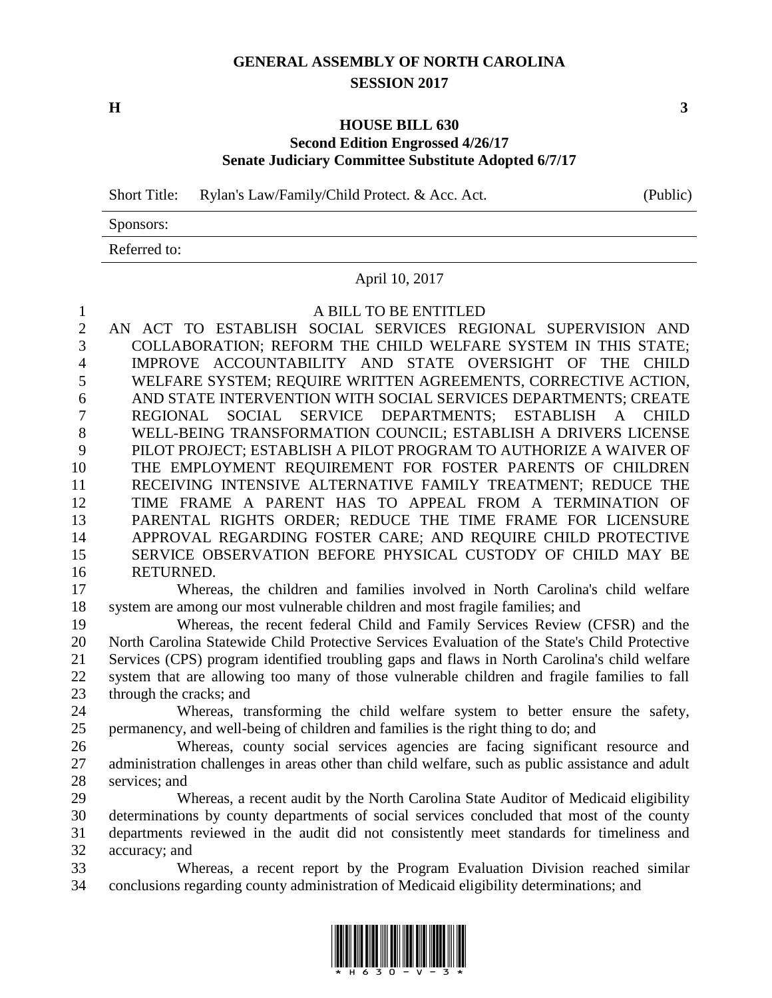## **GENERAL ASSEMBLY OF NORTH CAROLINA SESSION 2017**

**H 3**

#### **HOUSE BILL 630 Second Edition Engrossed 4/26/17 Senate Judiciary Committee Substitute Adopted 6/7/17**

Short Title: Rylan's Law/Family/Child Protect. & Acc. Act. (Public)

Sponsors:

Referred to:

#### April 10, 2017

#### A BILL TO BE ENTITLED

 AN ACT TO ESTABLISH SOCIAL SERVICES REGIONAL SUPERVISION AND COLLABORATION; REFORM THE CHILD WELFARE SYSTEM IN THIS STATE; IMPROVE ACCOUNTABILITY AND STATE OVERSIGHT OF THE CHILD WELFARE SYSTEM; REQUIRE WRITTEN AGREEMENTS, CORRECTIVE ACTION, AND STATE INTERVENTION WITH SOCIAL SERVICES DEPARTMENTS; CREATE REGIONAL SOCIAL SERVICE DEPARTMENTS; ESTABLISH A CHILD WELL-BEING TRANSFORMATION COUNCIL; ESTABLISH A DRIVERS LICENSE PILOT PROJECT; ESTABLISH A PILOT PROGRAM TO AUTHORIZE A WAIVER OF THE EMPLOYMENT REQUIREMENT FOR FOSTER PARENTS OF CHILDREN RECEIVING INTENSIVE ALTERNATIVE FAMILY TREATMENT; REDUCE THE TIME FRAME A PARENT HAS TO APPEAL FROM A TERMINATION OF PARENTAL RIGHTS ORDER; REDUCE THE TIME FRAME FOR LICENSURE APPROVAL REGARDING FOSTER CARE; AND REQUIRE CHILD PROTECTIVE SERVICE OBSERVATION BEFORE PHYSICAL CUSTODY OF CHILD MAY BE RETURNED.

 Whereas, the children and families involved in North Carolina's child welfare system are among our most vulnerable children and most fragile families; and

 Whereas, the recent federal Child and Family Services Review (CFSR) and the North Carolina Statewide Child Protective Services Evaluation of the State's Child Protective Services (CPS) program identified troubling gaps and flaws in North Carolina's child welfare system that are allowing too many of those vulnerable children and fragile families to fall through the cracks; and

 Whereas, transforming the child welfare system to better ensure the safety, permanency, and well-being of children and families is the right thing to do; and

 Whereas, county social services agencies are facing significant resource and 27 administration challenges in areas other than child welfare, such as public assistance and adult services; and

 Whereas, a recent audit by the North Carolina State Auditor of Medicaid eligibility determinations by county departments of social services concluded that most of the county departments reviewed in the audit did not consistently meet standards for timeliness and accuracy; and

 Whereas, a recent report by the Program Evaluation Division reached similar conclusions regarding county administration of Medicaid eligibility determinations; and

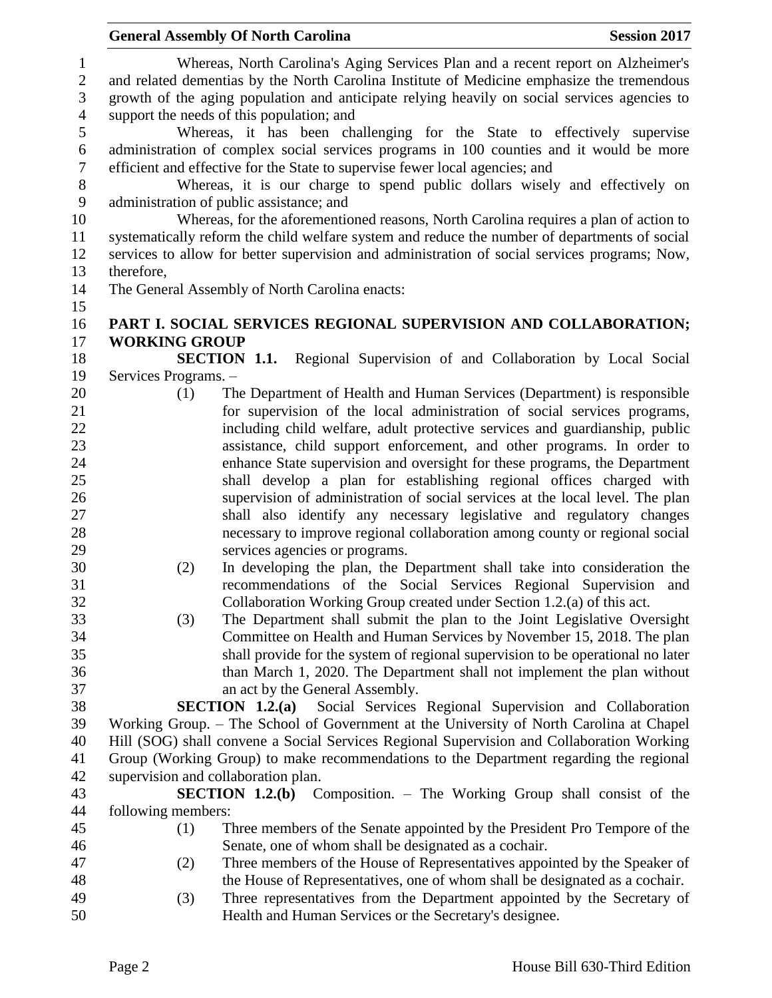|                                   |                      | <b>General Assembly Of North Carolina</b>                                                                                                                                                                                                                                              | <b>Session 2017</b> |
|-----------------------------------|----------------------|----------------------------------------------------------------------------------------------------------------------------------------------------------------------------------------------------------------------------------------------------------------------------------------|---------------------|
| $\mathbf{1}$<br>$\mathbf{2}$<br>3 |                      | Whereas, North Carolina's Aging Services Plan and a recent report on Alzheimer's<br>and related dementias by the North Carolina Institute of Medicine emphasize the tremendous<br>growth of the aging population and anticipate relying heavily on social services agencies to         |                     |
| $\overline{4}$<br>5               |                      | support the needs of this population; and                                                                                                                                                                                                                                              |                     |
| $\sqrt{6}$<br>$\boldsymbol{7}$    |                      | Whereas, it has been challenging for the State to effectively supervise<br>administration of complex social services programs in 100 counties and it would be more<br>efficient and effective for the State to supervise fewer local agencies; and                                     |                     |
| 8<br>9                            |                      | Whereas, it is our charge to spend public dollars wisely and effectively on<br>administration of public assistance; and                                                                                                                                                                |                     |
| 10<br>11<br>12                    |                      | Whereas, for the aforementioned reasons, North Carolina requires a plan of action to<br>systematically reform the child welfare system and reduce the number of departments of social<br>services to allow for better supervision and administration of social services programs; Now, |                     |
| 13                                | therefore,           |                                                                                                                                                                                                                                                                                        |                     |
| 14<br>15                          |                      | The General Assembly of North Carolina enacts:                                                                                                                                                                                                                                         |                     |
| 16                                |                      | PART I. SOCIAL SERVICES REGIONAL SUPERVISION AND COLLABORATION;                                                                                                                                                                                                                        |                     |
| 17                                | <b>WORKING GROUP</b> |                                                                                                                                                                                                                                                                                        |                     |
| 18                                |                      | Regional Supervision of and Collaboration by Local Social<br><b>SECTION 1.1.</b>                                                                                                                                                                                                       |                     |
| 19                                | Services Programs. - |                                                                                                                                                                                                                                                                                        |                     |
| 20                                | (1)                  | The Department of Health and Human Services (Department) is responsible                                                                                                                                                                                                                |                     |
| 21                                |                      | for supervision of the local administration of social services programs,                                                                                                                                                                                                               |                     |
| 22                                |                      | including child welfare, adult protective services and guardianship, public                                                                                                                                                                                                            |                     |
| 23                                |                      | assistance, child support enforcement, and other programs. In order to                                                                                                                                                                                                                 |                     |
| 24                                |                      | enhance State supervision and oversight for these programs, the Department                                                                                                                                                                                                             |                     |
| 25<br>26                          |                      | shall develop a plan for establishing regional offices charged with<br>supervision of administration of social services at the local level. The plan                                                                                                                                   |                     |
| 27                                |                      | shall also identify any necessary legislative and regulatory changes                                                                                                                                                                                                                   |                     |
| 28                                |                      | necessary to improve regional collaboration among county or regional social                                                                                                                                                                                                            |                     |
| 29                                |                      | services agencies or programs.                                                                                                                                                                                                                                                         |                     |
| 30                                | (2)                  | In developing the plan, the Department shall take into consideration the                                                                                                                                                                                                               |                     |
| 31                                |                      | recommendations of the Social Services Regional Supervision and                                                                                                                                                                                                                        |                     |
| 32                                |                      | Collaboration Working Group created under Section 1.2.(a) of this act.                                                                                                                                                                                                                 |                     |
| 33                                | (3)                  | The Department shall submit the plan to the Joint Legislative Oversight                                                                                                                                                                                                                |                     |
| 34                                |                      | Committee on Health and Human Services by November 15, 2018. The plan                                                                                                                                                                                                                  |                     |
| 35                                |                      | shall provide for the system of regional supervision to be operational no later                                                                                                                                                                                                        |                     |
| 36                                |                      | than March 1, 2020. The Department shall not implement the plan without                                                                                                                                                                                                                |                     |
| 37                                |                      | an act by the General Assembly.                                                                                                                                                                                                                                                        |                     |
| 38                                |                      | <b>SECTION 1.2.(a)</b> Social Services Regional Supervision and Collaboration                                                                                                                                                                                                          |                     |
| 39                                |                      | Working Group. - The School of Government at the University of North Carolina at Chapel                                                                                                                                                                                                |                     |
| 40                                |                      | Hill (SOG) shall convene a Social Services Regional Supervision and Collaboration Working                                                                                                                                                                                              |                     |
| 41                                |                      | Group (Working Group) to make recommendations to the Department regarding the regional                                                                                                                                                                                                 |                     |
| 42                                |                      | supervision and collaboration plan.                                                                                                                                                                                                                                                    |                     |
| 43                                |                      | <b>SECTION 1.2.(b)</b> Composition. – The Working Group shall consist of the                                                                                                                                                                                                           |                     |
| 44                                | following members:   |                                                                                                                                                                                                                                                                                        |                     |
| 45                                | (1)                  | Three members of the Senate appointed by the President Pro Tempore of the                                                                                                                                                                                                              |                     |
| 46                                |                      | Senate, one of whom shall be designated as a cochair.                                                                                                                                                                                                                                  |                     |
| 47                                | (2)                  | Three members of the House of Representatives appointed by the Speaker of                                                                                                                                                                                                              |                     |
| 48<br>49                          |                      | the House of Representatives, one of whom shall be designated as a cochair.<br>Three representatives from the Department appointed by the Secretary of                                                                                                                                 |                     |
| 50                                | (3)                  | Health and Human Services or the Secretary's designee.                                                                                                                                                                                                                                 |                     |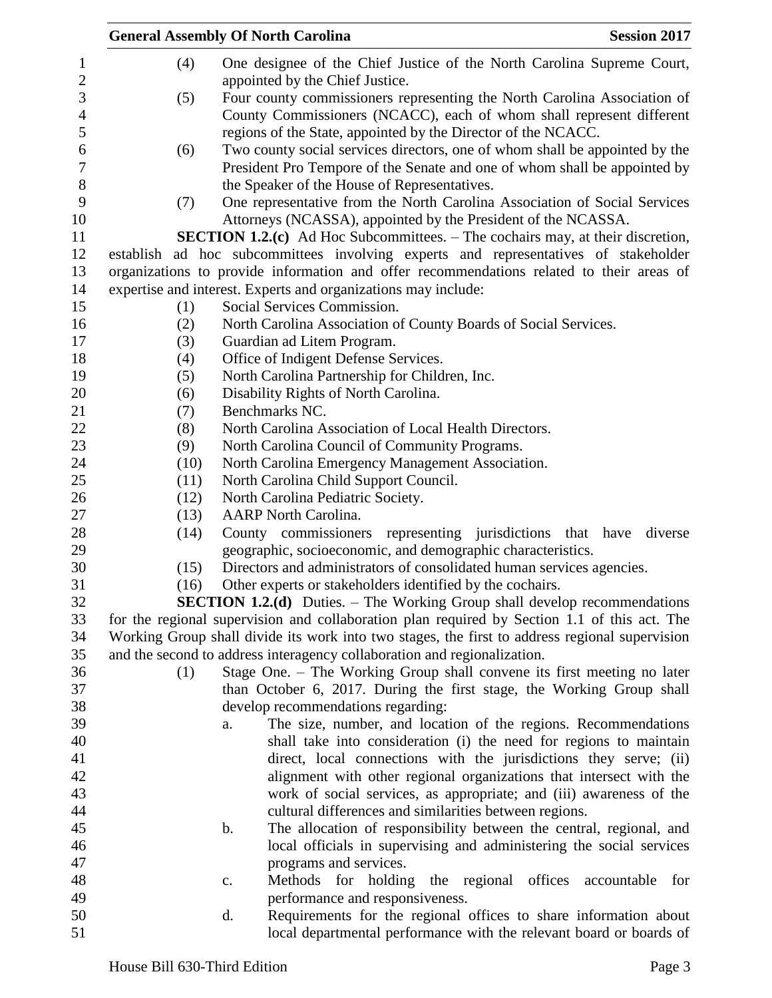| (4)<br>One designee of the Chief Justice of the North Carolina Supreme Court,<br>$\mathbf{1}$<br>$\overline{2}$<br>appointed by the Chief Justice.<br>$\mathfrak{Z}$<br>Four county commissioners representing the North Carolina Association of<br>(5)<br>$\overline{\mathcal{A}}$<br>County Commissioners (NCACC), each of whom shall represent different<br>5<br>regions of the State, appointed by the Director of the NCACC.<br>6<br>Two county social services directors, one of whom shall be appointed by the<br>(6)<br>7<br>President Pro Tempore of the Senate and one of whom shall be appointed by<br>8<br>the Speaker of the House of Representatives.<br>9<br>One representative from the North Carolina Association of Social Services<br>(7)<br>10<br>Attorneys (NCASSA), appointed by the President of the NCASSA.<br><b>SECTION 1.2.(c)</b> Ad Hoc Subcommittees. – The cochairs may, at their discretion,<br>11<br>12<br>establish ad hoc subcommittees involving experts and representatives of stakeholder<br>organizations to provide information and offer recommendations related to their areas of<br>13<br>14<br>expertise and interest. Experts and organizations may include:<br>Social Services Commission.<br>15<br>(1)<br>16<br>North Carolina Association of County Boards of Social Services.<br>(2)<br>17<br>(3)<br>Guardian ad Litem Program.<br>18<br>Office of Indigent Defense Services.<br>(4)<br>North Carolina Partnership for Children, Inc.<br>19<br>(5)<br>20<br>Disability Rights of North Carolina.<br>(6)<br>Benchmarks NC.<br>21<br>(7)<br>22<br>(8)<br>North Carolina Association of Local Health Directors.<br>23<br>(9)<br>North Carolina Council of Community Programs.<br>24<br>(10)<br>North Carolina Emergency Management Association.<br>25<br>North Carolina Child Support Council.<br>(11)<br>26<br>North Carolina Pediatric Society.<br>(12)<br>27<br><b>AARP</b> North Carolina.<br>(13)<br>$28\,$<br>County commissioners representing jurisdictions that<br>(14)<br>have<br>diverse<br>29<br>geographic, socioeconomic, and demographic characteristics.<br>30<br>Directors and administrators of consolidated human services agencies.<br>(15)<br>31<br>Other experts or stakeholders identified by the cochairs.<br>(16)<br>32<br><b>SECTION 1.2.(d)</b> Duties. – The Working Group shall develop recommendations<br>33<br>for the regional supervision and collaboration plan required by Section 1.1 of this act. The<br>Working Group shall divide its work into two stages, the first to address regional supervision<br>34<br>35<br>and the second to address interagency collaboration and regionalization.<br>36<br>Stage One. – The Working Group shall convene its first meeting no later<br>(1)<br>37<br>than October 6, 2017. During the first stage, the Working Group shall<br>38<br>develop recommendations regarding:<br>39<br>The size, number, and location of the regions. Recommendations<br>a.<br>40<br>shall take into consideration (i) the need for regions to maintain<br>41<br>direct, local connections with the jurisdictions they serve; (ii)<br>42<br>alignment with other regional organizations that intersect with the<br>43<br>work of social services, as appropriate; and (iii) awareness of the<br>44<br>cultural differences and similarities between regions.<br>45<br>The allocation of responsibility between the central, regional, and<br>$\mathbf b$ .<br>46<br>local officials in supervising and administering the social services<br>47<br>programs and services.<br>48<br>Methods for holding the regional offices accountable for<br>c.<br>performance and responsiveness.<br>49<br>50<br>Requirements for the regional offices to share information about<br>d. |  | <b>General Assembly Of North Carolina</b> | <b>Session 2017</b> |
|-----------------------------------------------------------------------------------------------------------------------------------------------------------------------------------------------------------------------------------------------------------------------------------------------------------------------------------------------------------------------------------------------------------------------------------------------------------------------------------------------------------------------------------------------------------------------------------------------------------------------------------------------------------------------------------------------------------------------------------------------------------------------------------------------------------------------------------------------------------------------------------------------------------------------------------------------------------------------------------------------------------------------------------------------------------------------------------------------------------------------------------------------------------------------------------------------------------------------------------------------------------------------------------------------------------------------------------------------------------------------------------------------------------------------------------------------------------------------------------------------------------------------------------------------------------------------------------------------------------------------------------------------------------------------------------------------------------------------------------------------------------------------------------------------------------------------------------------------------------------------------------------------------------------------------------------------------------------------------------------------------------------------------------------------------------------------------------------------------------------------------------------------------------------------------------------------------------------------------------------------------------------------------------------------------------------------------------------------------------------------------------------------------------------------------------------------------------------------------------------------------------------------------------------------------------------------------------------------------------------------------------------------------------------------------------------------------------------------------------------------------------------------------------------------------------------------------------------------------------------------------------------------------------------------------------------------------------------------------------------------------------------------------------------------------------------------------------------------------------------------------------------------------------------------------------------------------------------------------------------------------------------------------------------------------------------------------------------------------------------------------------------------------------------------------------------------------------------------------------------------------------------------------------------------------------------------------------------------------------------------------------------------------------------------------------------------------------------------------------------------------------------------------------|--|-------------------------------------------|---------------------|
|                                                                                                                                                                                                                                                                                                                                                                                                                                                                                                                                                                                                                                                                                                                                                                                                                                                                                                                                                                                                                                                                                                                                                                                                                                                                                                                                                                                                                                                                                                                                                                                                                                                                                                                                                                                                                                                                                                                                                                                                                                                                                                                                                                                                                                                                                                                                                                                                                                                                                                                                                                                                                                                                                                                                                                                                                                                                                                                                                                                                                                                                                                                                                                                                                                                                                                                                                                                                                                                                                                                                                                                                                                                                                                                                                                                   |  |                                           |                     |
|                                                                                                                                                                                                                                                                                                                                                                                                                                                                                                                                                                                                                                                                                                                                                                                                                                                                                                                                                                                                                                                                                                                                                                                                                                                                                                                                                                                                                                                                                                                                                                                                                                                                                                                                                                                                                                                                                                                                                                                                                                                                                                                                                                                                                                                                                                                                                                                                                                                                                                                                                                                                                                                                                                                                                                                                                                                                                                                                                                                                                                                                                                                                                                                                                                                                                                                                                                                                                                                                                                                                                                                                                                                                                                                                                                                   |  |                                           |                     |
|                                                                                                                                                                                                                                                                                                                                                                                                                                                                                                                                                                                                                                                                                                                                                                                                                                                                                                                                                                                                                                                                                                                                                                                                                                                                                                                                                                                                                                                                                                                                                                                                                                                                                                                                                                                                                                                                                                                                                                                                                                                                                                                                                                                                                                                                                                                                                                                                                                                                                                                                                                                                                                                                                                                                                                                                                                                                                                                                                                                                                                                                                                                                                                                                                                                                                                                                                                                                                                                                                                                                                                                                                                                                                                                                                                                   |  |                                           |                     |
|                                                                                                                                                                                                                                                                                                                                                                                                                                                                                                                                                                                                                                                                                                                                                                                                                                                                                                                                                                                                                                                                                                                                                                                                                                                                                                                                                                                                                                                                                                                                                                                                                                                                                                                                                                                                                                                                                                                                                                                                                                                                                                                                                                                                                                                                                                                                                                                                                                                                                                                                                                                                                                                                                                                                                                                                                                                                                                                                                                                                                                                                                                                                                                                                                                                                                                                                                                                                                                                                                                                                                                                                                                                                                                                                                                                   |  |                                           |                     |
|                                                                                                                                                                                                                                                                                                                                                                                                                                                                                                                                                                                                                                                                                                                                                                                                                                                                                                                                                                                                                                                                                                                                                                                                                                                                                                                                                                                                                                                                                                                                                                                                                                                                                                                                                                                                                                                                                                                                                                                                                                                                                                                                                                                                                                                                                                                                                                                                                                                                                                                                                                                                                                                                                                                                                                                                                                                                                                                                                                                                                                                                                                                                                                                                                                                                                                                                                                                                                                                                                                                                                                                                                                                                                                                                                                                   |  |                                           |                     |
|                                                                                                                                                                                                                                                                                                                                                                                                                                                                                                                                                                                                                                                                                                                                                                                                                                                                                                                                                                                                                                                                                                                                                                                                                                                                                                                                                                                                                                                                                                                                                                                                                                                                                                                                                                                                                                                                                                                                                                                                                                                                                                                                                                                                                                                                                                                                                                                                                                                                                                                                                                                                                                                                                                                                                                                                                                                                                                                                                                                                                                                                                                                                                                                                                                                                                                                                                                                                                                                                                                                                                                                                                                                                                                                                                                                   |  |                                           |                     |
|                                                                                                                                                                                                                                                                                                                                                                                                                                                                                                                                                                                                                                                                                                                                                                                                                                                                                                                                                                                                                                                                                                                                                                                                                                                                                                                                                                                                                                                                                                                                                                                                                                                                                                                                                                                                                                                                                                                                                                                                                                                                                                                                                                                                                                                                                                                                                                                                                                                                                                                                                                                                                                                                                                                                                                                                                                                                                                                                                                                                                                                                                                                                                                                                                                                                                                                                                                                                                                                                                                                                                                                                                                                                                                                                                                                   |  |                                           |                     |
|                                                                                                                                                                                                                                                                                                                                                                                                                                                                                                                                                                                                                                                                                                                                                                                                                                                                                                                                                                                                                                                                                                                                                                                                                                                                                                                                                                                                                                                                                                                                                                                                                                                                                                                                                                                                                                                                                                                                                                                                                                                                                                                                                                                                                                                                                                                                                                                                                                                                                                                                                                                                                                                                                                                                                                                                                                                                                                                                                                                                                                                                                                                                                                                                                                                                                                                                                                                                                                                                                                                                                                                                                                                                                                                                                                                   |  |                                           |                     |
|                                                                                                                                                                                                                                                                                                                                                                                                                                                                                                                                                                                                                                                                                                                                                                                                                                                                                                                                                                                                                                                                                                                                                                                                                                                                                                                                                                                                                                                                                                                                                                                                                                                                                                                                                                                                                                                                                                                                                                                                                                                                                                                                                                                                                                                                                                                                                                                                                                                                                                                                                                                                                                                                                                                                                                                                                                                                                                                                                                                                                                                                                                                                                                                                                                                                                                                                                                                                                                                                                                                                                                                                                                                                                                                                                                                   |  |                                           |                     |
|                                                                                                                                                                                                                                                                                                                                                                                                                                                                                                                                                                                                                                                                                                                                                                                                                                                                                                                                                                                                                                                                                                                                                                                                                                                                                                                                                                                                                                                                                                                                                                                                                                                                                                                                                                                                                                                                                                                                                                                                                                                                                                                                                                                                                                                                                                                                                                                                                                                                                                                                                                                                                                                                                                                                                                                                                                                                                                                                                                                                                                                                                                                                                                                                                                                                                                                                                                                                                                                                                                                                                                                                                                                                                                                                                                                   |  |                                           |                     |
|                                                                                                                                                                                                                                                                                                                                                                                                                                                                                                                                                                                                                                                                                                                                                                                                                                                                                                                                                                                                                                                                                                                                                                                                                                                                                                                                                                                                                                                                                                                                                                                                                                                                                                                                                                                                                                                                                                                                                                                                                                                                                                                                                                                                                                                                                                                                                                                                                                                                                                                                                                                                                                                                                                                                                                                                                                                                                                                                                                                                                                                                                                                                                                                                                                                                                                                                                                                                                                                                                                                                                                                                                                                                                                                                                                                   |  |                                           |                     |
|                                                                                                                                                                                                                                                                                                                                                                                                                                                                                                                                                                                                                                                                                                                                                                                                                                                                                                                                                                                                                                                                                                                                                                                                                                                                                                                                                                                                                                                                                                                                                                                                                                                                                                                                                                                                                                                                                                                                                                                                                                                                                                                                                                                                                                                                                                                                                                                                                                                                                                                                                                                                                                                                                                                                                                                                                                                                                                                                                                                                                                                                                                                                                                                                                                                                                                                                                                                                                                                                                                                                                                                                                                                                                                                                                                                   |  |                                           |                     |
|                                                                                                                                                                                                                                                                                                                                                                                                                                                                                                                                                                                                                                                                                                                                                                                                                                                                                                                                                                                                                                                                                                                                                                                                                                                                                                                                                                                                                                                                                                                                                                                                                                                                                                                                                                                                                                                                                                                                                                                                                                                                                                                                                                                                                                                                                                                                                                                                                                                                                                                                                                                                                                                                                                                                                                                                                                                                                                                                                                                                                                                                                                                                                                                                                                                                                                                                                                                                                                                                                                                                                                                                                                                                                                                                                                                   |  |                                           |                     |
|                                                                                                                                                                                                                                                                                                                                                                                                                                                                                                                                                                                                                                                                                                                                                                                                                                                                                                                                                                                                                                                                                                                                                                                                                                                                                                                                                                                                                                                                                                                                                                                                                                                                                                                                                                                                                                                                                                                                                                                                                                                                                                                                                                                                                                                                                                                                                                                                                                                                                                                                                                                                                                                                                                                                                                                                                                                                                                                                                                                                                                                                                                                                                                                                                                                                                                                                                                                                                                                                                                                                                                                                                                                                                                                                                                                   |  |                                           |                     |
|                                                                                                                                                                                                                                                                                                                                                                                                                                                                                                                                                                                                                                                                                                                                                                                                                                                                                                                                                                                                                                                                                                                                                                                                                                                                                                                                                                                                                                                                                                                                                                                                                                                                                                                                                                                                                                                                                                                                                                                                                                                                                                                                                                                                                                                                                                                                                                                                                                                                                                                                                                                                                                                                                                                                                                                                                                                                                                                                                                                                                                                                                                                                                                                                                                                                                                                                                                                                                                                                                                                                                                                                                                                                                                                                                                                   |  |                                           |                     |
|                                                                                                                                                                                                                                                                                                                                                                                                                                                                                                                                                                                                                                                                                                                                                                                                                                                                                                                                                                                                                                                                                                                                                                                                                                                                                                                                                                                                                                                                                                                                                                                                                                                                                                                                                                                                                                                                                                                                                                                                                                                                                                                                                                                                                                                                                                                                                                                                                                                                                                                                                                                                                                                                                                                                                                                                                                                                                                                                                                                                                                                                                                                                                                                                                                                                                                                                                                                                                                                                                                                                                                                                                                                                                                                                                                                   |  |                                           |                     |
|                                                                                                                                                                                                                                                                                                                                                                                                                                                                                                                                                                                                                                                                                                                                                                                                                                                                                                                                                                                                                                                                                                                                                                                                                                                                                                                                                                                                                                                                                                                                                                                                                                                                                                                                                                                                                                                                                                                                                                                                                                                                                                                                                                                                                                                                                                                                                                                                                                                                                                                                                                                                                                                                                                                                                                                                                                                                                                                                                                                                                                                                                                                                                                                                                                                                                                                                                                                                                                                                                                                                                                                                                                                                                                                                                                                   |  |                                           |                     |
|                                                                                                                                                                                                                                                                                                                                                                                                                                                                                                                                                                                                                                                                                                                                                                                                                                                                                                                                                                                                                                                                                                                                                                                                                                                                                                                                                                                                                                                                                                                                                                                                                                                                                                                                                                                                                                                                                                                                                                                                                                                                                                                                                                                                                                                                                                                                                                                                                                                                                                                                                                                                                                                                                                                                                                                                                                                                                                                                                                                                                                                                                                                                                                                                                                                                                                                                                                                                                                                                                                                                                                                                                                                                                                                                                                                   |  |                                           |                     |
|                                                                                                                                                                                                                                                                                                                                                                                                                                                                                                                                                                                                                                                                                                                                                                                                                                                                                                                                                                                                                                                                                                                                                                                                                                                                                                                                                                                                                                                                                                                                                                                                                                                                                                                                                                                                                                                                                                                                                                                                                                                                                                                                                                                                                                                                                                                                                                                                                                                                                                                                                                                                                                                                                                                                                                                                                                                                                                                                                                                                                                                                                                                                                                                                                                                                                                                                                                                                                                                                                                                                                                                                                                                                                                                                                                                   |  |                                           |                     |
|                                                                                                                                                                                                                                                                                                                                                                                                                                                                                                                                                                                                                                                                                                                                                                                                                                                                                                                                                                                                                                                                                                                                                                                                                                                                                                                                                                                                                                                                                                                                                                                                                                                                                                                                                                                                                                                                                                                                                                                                                                                                                                                                                                                                                                                                                                                                                                                                                                                                                                                                                                                                                                                                                                                                                                                                                                                                                                                                                                                                                                                                                                                                                                                                                                                                                                                                                                                                                                                                                                                                                                                                                                                                                                                                                                                   |  |                                           |                     |
|                                                                                                                                                                                                                                                                                                                                                                                                                                                                                                                                                                                                                                                                                                                                                                                                                                                                                                                                                                                                                                                                                                                                                                                                                                                                                                                                                                                                                                                                                                                                                                                                                                                                                                                                                                                                                                                                                                                                                                                                                                                                                                                                                                                                                                                                                                                                                                                                                                                                                                                                                                                                                                                                                                                                                                                                                                                                                                                                                                                                                                                                                                                                                                                                                                                                                                                                                                                                                                                                                                                                                                                                                                                                                                                                                                                   |  |                                           |                     |
|                                                                                                                                                                                                                                                                                                                                                                                                                                                                                                                                                                                                                                                                                                                                                                                                                                                                                                                                                                                                                                                                                                                                                                                                                                                                                                                                                                                                                                                                                                                                                                                                                                                                                                                                                                                                                                                                                                                                                                                                                                                                                                                                                                                                                                                                                                                                                                                                                                                                                                                                                                                                                                                                                                                                                                                                                                                                                                                                                                                                                                                                                                                                                                                                                                                                                                                                                                                                                                                                                                                                                                                                                                                                                                                                                                                   |  |                                           |                     |
|                                                                                                                                                                                                                                                                                                                                                                                                                                                                                                                                                                                                                                                                                                                                                                                                                                                                                                                                                                                                                                                                                                                                                                                                                                                                                                                                                                                                                                                                                                                                                                                                                                                                                                                                                                                                                                                                                                                                                                                                                                                                                                                                                                                                                                                                                                                                                                                                                                                                                                                                                                                                                                                                                                                                                                                                                                                                                                                                                                                                                                                                                                                                                                                                                                                                                                                                                                                                                                                                                                                                                                                                                                                                                                                                                                                   |  |                                           |                     |
|                                                                                                                                                                                                                                                                                                                                                                                                                                                                                                                                                                                                                                                                                                                                                                                                                                                                                                                                                                                                                                                                                                                                                                                                                                                                                                                                                                                                                                                                                                                                                                                                                                                                                                                                                                                                                                                                                                                                                                                                                                                                                                                                                                                                                                                                                                                                                                                                                                                                                                                                                                                                                                                                                                                                                                                                                                                                                                                                                                                                                                                                                                                                                                                                                                                                                                                                                                                                                                                                                                                                                                                                                                                                                                                                                                                   |  |                                           |                     |
|                                                                                                                                                                                                                                                                                                                                                                                                                                                                                                                                                                                                                                                                                                                                                                                                                                                                                                                                                                                                                                                                                                                                                                                                                                                                                                                                                                                                                                                                                                                                                                                                                                                                                                                                                                                                                                                                                                                                                                                                                                                                                                                                                                                                                                                                                                                                                                                                                                                                                                                                                                                                                                                                                                                                                                                                                                                                                                                                                                                                                                                                                                                                                                                                                                                                                                                                                                                                                                                                                                                                                                                                                                                                                                                                                                                   |  |                                           |                     |
|                                                                                                                                                                                                                                                                                                                                                                                                                                                                                                                                                                                                                                                                                                                                                                                                                                                                                                                                                                                                                                                                                                                                                                                                                                                                                                                                                                                                                                                                                                                                                                                                                                                                                                                                                                                                                                                                                                                                                                                                                                                                                                                                                                                                                                                                                                                                                                                                                                                                                                                                                                                                                                                                                                                                                                                                                                                                                                                                                                                                                                                                                                                                                                                                                                                                                                                                                                                                                                                                                                                                                                                                                                                                                                                                                                                   |  |                                           |                     |
|                                                                                                                                                                                                                                                                                                                                                                                                                                                                                                                                                                                                                                                                                                                                                                                                                                                                                                                                                                                                                                                                                                                                                                                                                                                                                                                                                                                                                                                                                                                                                                                                                                                                                                                                                                                                                                                                                                                                                                                                                                                                                                                                                                                                                                                                                                                                                                                                                                                                                                                                                                                                                                                                                                                                                                                                                                                                                                                                                                                                                                                                                                                                                                                                                                                                                                                                                                                                                                                                                                                                                                                                                                                                                                                                                                                   |  |                                           |                     |
|                                                                                                                                                                                                                                                                                                                                                                                                                                                                                                                                                                                                                                                                                                                                                                                                                                                                                                                                                                                                                                                                                                                                                                                                                                                                                                                                                                                                                                                                                                                                                                                                                                                                                                                                                                                                                                                                                                                                                                                                                                                                                                                                                                                                                                                                                                                                                                                                                                                                                                                                                                                                                                                                                                                                                                                                                                                                                                                                                                                                                                                                                                                                                                                                                                                                                                                                                                                                                                                                                                                                                                                                                                                                                                                                                                                   |  |                                           |                     |
|                                                                                                                                                                                                                                                                                                                                                                                                                                                                                                                                                                                                                                                                                                                                                                                                                                                                                                                                                                                                                                                                                                                                                                                                                                                                                                                                                                                                                                                                                                                                                                                                                                                                                                                                                                                                                                                                                                                                                                                                                                                                                                                                                                                                                                                                                                                                                                                                                                                                                                                                                                                                                                                                                                                                                                                                                                                                                                                                                                                                                                                                                                                                                                                                                                                                                                                                                                                                                                                                                                                                                                                                                                                                                                                                                                                   |  |                                           |                     |
|                                                                                                                                                                                                                                                                                                                                                                                                                                                                                                                                                                                                                                                                                                                                                                                                                                                                                                                                                                                                                                                                                                                                                                                                                                                                                                                                                                                                                                                                                                                                                                                                                                                                                                                                                                                                                                                                                                                                                                                                                                                                                                                                                                                                                                                                                                                                                                                                                                                                                                                                                                                                                                                                                                                                                                                                                                                                                                                                                                                                                                                                                                                                                                                                                                                                                                                                                                                                                                                                                                                                                                                                                                                                                                                                                                                   |  |                                           |                     |
|                                                                                                                                                                                                                                                                                                                                                                                                                                                                                                                                                                                                                                                                                                                                                                                                                                                                                                                                                                                                                                                                                                                                                                                                                                                                                                                                                                                                                                                                                                                                                                                                                                                                                                                                                                                                                                                                                                                                                                                                                                                                                                                                                                                                                                                                                                                                                                                                                                                                                                                                                                                                                                                                                                                                                                                                                                                                                                                                                                                                                                                                                                                                                                                                                                                                                                                                                                                                                                                                                                                                                                                                                                                                                                                                                                                   |  |                                           |                     |
|                                                                                                                                                                                                                                                                                                                                                                                                                                                                                                                                                                                                                                                                                                                                                                                                                                                                                                                                                                                                                                                                                                                                                                                                                                                                                                                                                                                                                                                                                                                                                                                                                                                                                                                                                                                                                                                                                                                                                                                                                                                                                                                                                                                                                                                                                                                                                                                                                                                                                                                                                                                                                                                                                                                                                                                                                                                                                                                                                                                                                                                                                                                                                                                                                                                                                                                                                                                                                                                                                                                                                                                                                                                                                                                                                                                   |  |                                           |                     |
|                                                                                                                                                                                                                                                                                                                                                                                                                                                                                                                                                                                                                                                                                                                                                                                                                                                                                                                                                                                                                                                                                                                                                                                                                                                                                                                                                                                                                                                                                                                                                                                                                                                                                                                                                                                                                                                                                                                                                                                                                                                                                                                                                                                                                                                                                                                                                                                                                                                                                                                                                                                                                                                                                                                                                                                                                                                                                                                                                                                                                                                                                                                                                                                                                                                                                                                                                                                                                                                                                                                                                                                                                                                                                                                                                                                   |  |                                           |                     |
|                                                                                                                                                                                                                                                                                                                                                                                                                                                                                                                                                                                                                                                                                                                                                                                                                                                                                                                                                                                                                                                                                                                                                                                                                                                                                                                                                                                                                                                                                                                                                                                                                                                                                                                                                                                                                                                                                                                                                                                                                                                                                                                                                                                                                                                                                                                                                                                                                                                                                                                                                                                                                                                                                                                                                                                                                                                                                                                                                                                                                                                                                                                                                                                                                                                                                                                                                                                                                                                                                                                                                                                                                                                                                                                                                                                   |  |                                           |                     |
|                                                                                                                                                                                                                                                                                                                                                                                                                                                                                                                                                                                                                                                                                                                                                                                                                                                                                                                                                                                                                                                                                                                                                                                                                                                                                                                                                                                                                                                                                                                                                                                                                                                                                                                                                                                                                                                                                                                                                                                                                                                                                                                                                                                                                                                                                                                                                                                                                                                                                                                                                                                                                                                                                                                                                                                                                                                                                                                                                                                                                                                                                                                                                                                                                                                                                                                                                                                                                                                                                                                                                                                                                                                                                                                                                                                   |  |                                           |                     |
|                                                                                                                                                                                                                                                                                                                                                                                                                                                                                                                                                                                                                                                                                                                                                                                                                                                                                                                                                                                                                                                                                                                                                                                                                                                                                                                                                                                                                                                                                                                                                                                                                                                                                                                                                                                                                                                                                                                                                                                                                                                                                                                                                                                                                                                                                                                                                                                                                                                                                                                                                                                                                                                                                                                                                                                                                                                                                                                                                                                                                                                                                                                                                                                                                                                                                                                                                                                                                                                                                                                                                                                                                                                                                                                                                                                   |  |                                           |                     |
|                                                                                                                                                                                                                                                                                                                                                                                                                                                                                                                                                                                                                                                                                                                                                                                                                                                                                                                                                                                                                                                                                                                                                                                                                                                                                                                                                                                                                                                                                                                                                                                                                                                                                                                                                                                                                                                                                                                                                                                                                                                                                                                                                                                                                                                                                                                                                                                                                                                                                                                                                                                                                                                                                                                                                                                                                                                                                                                                                                                                                                                                                                                                                                                                                                                                                                                                                                                                                                                                                                                                                                                                                                                                                                                                                                                   |  |                                           |                     |
|                                                                                                                                                                                                                                                                                                                                                                                                                                                                                                                                                                                                                                                                                                                                                                                                                                                                                                                                                                                                                                                                                                                                                                                                                                                                                                                                                                                                                                                                                                                                                                                                                                                                                                                                                                                                                                                                                                                                                                                                                                                                                                                                                                                                                                                                                                                                                                                                                                                                                                                                                                                                                                                                                                                                                                                                                                                                                                                                                                                                                                                                                                                                                                                                                                                                                                                                                                                                                                                                                                                                                                                                                                                                                                                                                                                   |  |                                           |                     |
|                                                                                                                                                                                                                                                                                                                                                                                                                                                                                                                                                                                                                                                                                                                                                                                                                                                                                                                                                                                                                                                                                                                                                                                                                                                                                                                                                                                                                                                                                                                                                                                                                                                                                                                                                                                                                                                                                                                                                                                                                                                                                                                                                                                                                                                                                                                                                                                                                                                                                                                                                                                                                                                                                                                                                                                                                                                                                                                                                                                                                                                                                                                                                                                                                                                                                                                                                                                                                                                                                                                                                                                                                                                                                                                                                                                   |  |                                           |                     |
|                                                                                                                                                                                                                                                                                                                                                                                                                                                                                                                                                                                                                                                                                                                                                                                                                                                                                                                                                                                                                                                                                                                                                                                                                                                                                                                                                                                                                                                                                                                                                                                                                                                                                                                                                                                                                                                                                                                                                                                                                                                                                                                                                                                                                                                                                                                                                                                                                                                                                                                                                                                                                                                                                                                                                                                                                                                                                                                                                                                                                                                                                                                                                                                                                                                                                                                                                                                                                                                                                                                                                                                                                                                                                                                                                                                   |  |                                           |                     |
|                                                                                                                                                                                                                                                                                                                                                                                                                                                                                                                                                                                                                                                                                                                                                                                                                                                                                                                                                                                                                                                                                                                                                                                                                                                                                                                                                                                                                                                                                                                                                                                                                                                                                                                                                                                                                                                                                                                                                                                                                                                                                                                                                                                                                                                                                                                                                                                                                                                                                                                                                                                                                                                                                                                                                                                                                                                                                                                                                                                                                                                                                                                                                                                                                                                                                                                                                                                                                                                                                                                                                                                                                                                                                                                                                                                   |  |                                           |                     |
|                                                                                                                                                                                                                                                                                                                                                                                                                                                                                                                                                                                                                                                                                                                                                                                                                                                                                                                                                                                                                                                                                                                                                                                                                                                                                                                                                                                                                                                                                                                                                                                                                                                                                                                                                                                                                                                                                                                                                                                                                                                                                                                                                                                                                                                                                                                                                                                                                                                                                                                                                                                                                                                                                                                                                                                                                                                                                                                                                                                                                                                                                                                                                                                                                                                                                                                                                                                                                                                                                                                                                                                                                                                                                                                                                                                   |  |                                           |                     |
|                                                                                                                                                                                                                                                                                                                                                                                                                                                                                                                                                                                                                                                                                                                                                                                                                                                                                                                                                                                                                                                                                                                                                                                                                                                                                                                                                                                                                                                                                                                                                                                                                                                                                                                                                                                                                                                                                                                                                                                                                                                                                                                                                                                                                                                                                                                                                                                                                                                                                                                                                                                                                                                                                                                                                                                                                                                                                                                                                                                                                                                                                                                                                                                                                                                                                                                                                                                                                                                                                                                                                                                                                                                                                                                                                                                   |  |                                           |                     |
|                                                                                                                                                                                                                                                                                                                                                                                                                                                                                                                                                                                                                                                                                                                                                                                                                                                                                                                                                                                                                                                                                                                                                                                                                                                                                                                                                                                                                                                                                                                                                                                                                                                                                                                                                                                                                                                                                                                                                                                                                                                                                                                                                                                                                                                                                                                                                                                                                                                                                                                                                                                                                                                                                                                                                                                                                                                                                                                                                                                                                                                                                                                                                                                                                                                                                                                                                                                                                                                                                                                                                                                                                                                                                                                                                                                   |  |                                           |                     |
| 51<br>local departmental performance with the relevant board or boards of                                                                                                                                                                                                                                                                                                                                                                                                                                                                                                                                                                                                                                                                                                                                                                                                                                                                                                                                                                                                                                                                                                                                                                                                                                                                                                                                                                                                                                                                                                                                                                                                                                                                                                                                                                                                                                                                                                                                                                                                                                                                                                                                                                                                                                                                                                                                                                                                                                                                                                                                                                                                                                                                                                                                                                                                                                                                                                                                                                                                                                                                                                                                                                                                                                                                                                                                                                                                                                                                                                                                                                                                                                                                                                         |  |                                           |                     |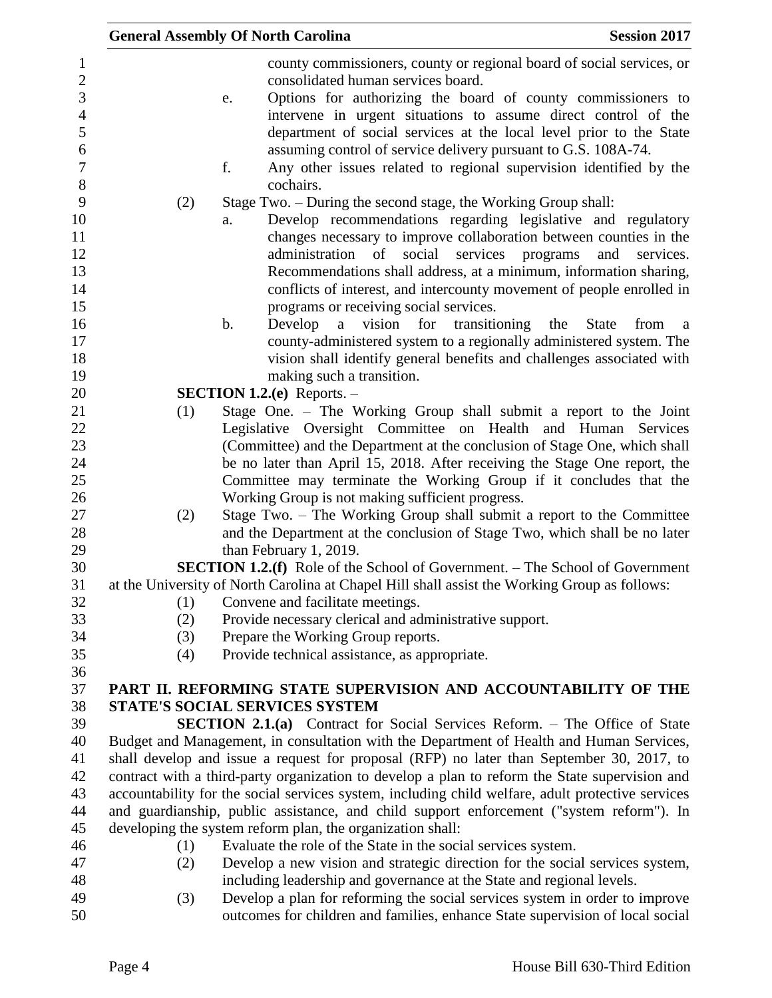|            |               | <b>General Assembly Of North Carolina</b>                             | <b>Session 2017</b>                                                                                                                                                                                                                                                                                                              |
|------------|---------------|-----------------------------------------------------------------------|----------------------------------------------------------------------------------------------------------------------------------------------------------------------------------------------------------------------------------------------------------------------------------------------------------------------------------|
|            | e.            | consolidated human services board.                                    | county commissioners, county or regional board of social services, or<br>Options for authorizing the board of county commissioners to                                                                                                                                                                                            |
|            | f.            | assuming control of service delivery pursuant to G.S. 108A-74.        | intervene in urgent situations to assume direct control of the<br>department of social services at the local level prior to the State<br>Any other issues related to regional supervision identified by the                                                                                                                      |
|            |               | cochairs.                                                             |                                                                                                                                                                                                                                                                                                                                  |
| (2)        |               | Stage Two. – During the second stage, the Working Group shall:        |                                                                                                                                                                                                                                                                                                                                  |
|            | a.            | administration of                                                     | Develop recommendations regarding legislative and regulatory<br>changes necessary to improve collaboration between counties in the<br>social services programs<br>and<br>services.<br>Recommendations shall address, at a minimum, information sharing,<br>conflicts of interest, and intercounty movement of people enrolled in |
|            |               | programs or receiving social services.                                |                                                                                                                                                                                                                                                                                                                                  |
|            | $\mathbf b$ . | Develop a vision for transitioning the                                | State<br>from<br><sub>a</sub><br>county-administered system to a regionally administered system. The                                                                                                                                                                                                                             |
|            |               |                                                                       | vision shall identify general benefits and challenges associated with                                                                                                                                                                                                                                                            |
|            |               | making such a transition.                                             |                                                                                                                                                                                                                                                                                                                                  |
|            |               | <b>SECTION 1.2.(e)</b> Reports. $-$                                   |                                                                                                                                                                                                                                                                                                                                  |
| (1)        |               |                                                                       | Stage One. – The Working Group shall submit a report to the Joint                                                                                                                                                                                                                                                                |
|            |               |                                                                       | Legislative Oversight Committee on Health and Human Services                                                                                                                                                                                                                                                                     |
|            |               |                                                                       | (Committee) and the Department at the conclusion of Stage One, which shall<br>be no later than April 15, 2018. After receiving the Stage One report, the                                                                                                                                                                         |
|            |               |                                                                       | Committee may terminate the Working Group if it concludes that the                                                                                                                                                                                                                                                               |
|            |               | Working Group is not making sufficient progress.                      |                                                                                                                                                                                                                                                                                                                                  |
| (2)        |               |                                                                       | Stage Two. – The Working Group shall submit a report to the Committee                                                                                                                                                                                                                                                            |
|            |               |                                                                       | and the Department at the conclusion of Stage Two, which shall be no later                                                                                                                                                                                                                                                       |
|            |               | than February 1, 2019.                                                |                                                                                                                                                                                                                                                                                                                                  |
|            |               |                                                                       | <b>SECTION 1.2.(f)</b> Role of the School of Government. – The School of Government<br>at the University of North Carolina at Chapel Hill shall assist the Working Group as follows:                                                                                                                                             |
| (1)        |               | Convene and facilitate meetings.                                      |                                                                                                                                                                                                                                                                                                                                  |
| (2)        |               | Provide necessary clerical and administrative support.                |                                                                                                                                                                                                                                                                                                                                  |
| (3)        |               | Prepare the Working Group reports.                                    |                                                                                                                                                                                                                                                                                                                                  |
| (4)        |               | Provide technical assistance, as appropriate.                         |                                                                                                                                                                                                                                                                                                                                  |
|            |               |                                                                       |                                                                                                                                                                                                                                                                                                                                  |
|            |               | <b>STATE'S SOCIAL SERVICES SYSTEM</b>                                 | PART II. REFORMING STATE SUPERVISION AND ACCOUNTABILITY OF THE                                                                                                                                                                                                                                                                   |
|            |               |                                                                       | <b>SECTION 2.1.(a)</b> Contract for Social Services Reform. – The Office of State                                                                                                                                                                                                                                                |
|            |               |                                                                       | Budget and Management, in consultation with the Department of Health and Human Services,                                                                                                                                                                                                                                         |
|            |               |                                                                       | shall develop and issue a request for proposal (RFP) no later than September 30, 2017, to                                                                                                                                                                                                                                        |
|            |               |                                                                       | contract with a third-party organization to develop a plan to reform the State supervision and                                                                                                                                                                                                                                   |
|            |               |                                                                       | accountability for the social services system, including child welfare, adult protective services                                                                                                                                                                                                                                |
|            |               |                                                                       | and guardianship, public assistance, and child support enforcement ("system reform"). In                                                                                                                                                                                                                                         |
|            |               | developing the system reform plan, the organization shall:            |                                                                                                                                                                                                                                                                                                                                  |
| (1)<br>(2) |               | Evaluate the role of the State in the social services system.         | Develop a new vision and strategic direction for the social services system,                                                                                                                                                                                                                                                     |
|            |               | including leadership and governance at the State and regional levels. |                                                                                                                                                                                                                                                                                                                                  |
| (3)        |               |                                                                       | Develop a plan for reforming the social services system in order to improve<br>outcomes for children and families, enhance State supervision of local social                                                                                                                                                                     |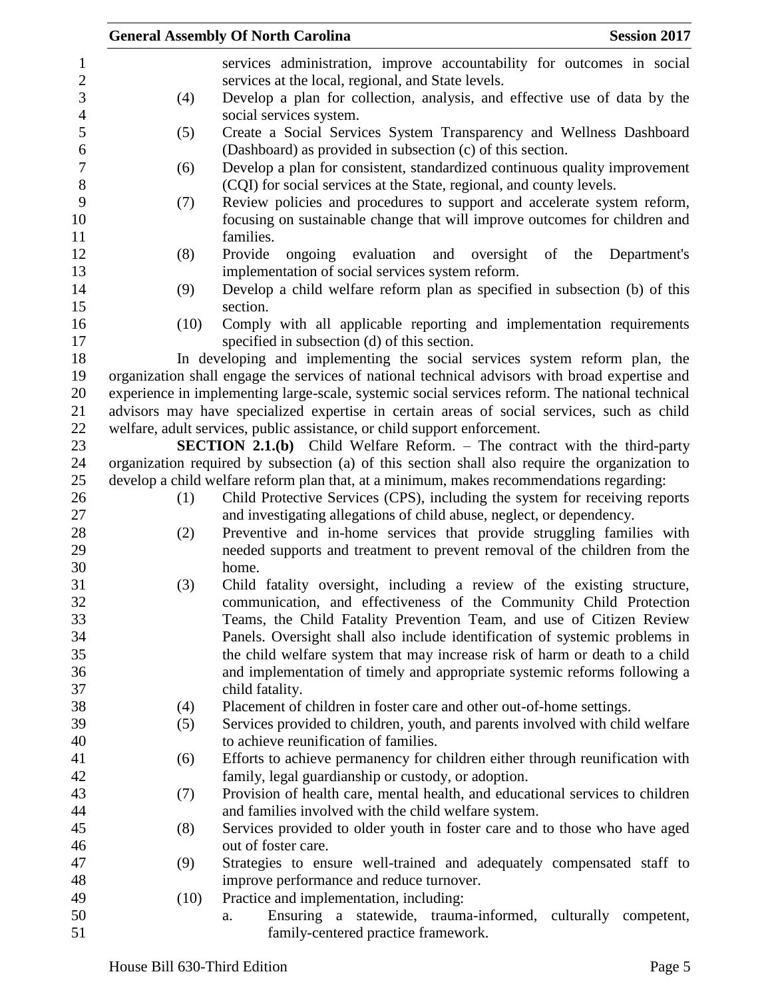|      | <b>General Assembly Of North Carolina</b>                                                                         | <b>Session 2017</b> |
|------|-------------------------------------------------------------------------------------------------------------------|---------------------|
|      | services administration, improve accountability for outcomes in social                                            |                     |
|      | services at the local, regional, and State levels.                                                                |                     |
| (4)  | Develop a plan for collection, analysis, and effective use of data by the                                         |                     |
|      | social services system.                                                                                           |                     |
| (5)  | Create a Social Services System Transparency and Wellness Dashboard                                               |                     |
|      | (Dashboard) as provided in subsection (c) of this section.                                                        |                     |
| (6)  | Develop a plan for consistent, standardized continuous quality improvement                                        |                     |
|      | (CQI) for social services at the State, regional, and county levels.                                              |                     |
| (7)  | Review policies and procedures to support and accelerate system reform,                                           |                     |
|      | focusing on sustainable change that will improve outcomes for children and                                        |                     |
|      | families.                                                                                                         |                     |
| (8)  | Provide<br>ongoing evaluation and oversight<br>of                                                                 | the<br>Department's |
|      | implementation of social services system reform.                                                                  |                     |
| (9)  | Develop a child welfare reform plan as specified in subsection (b) of this                                        |                     |
|      | section.                                                                                                          |                     |
| (10) | Comply with all applicable reporting and implementation requirements                                              |                     |
|      | specified in subsection (d) of this section.                                                                      |                     |
|      | In developing and implementing the social services system reform plan, the                                        |                     |
|      | organization shall engage the services of national technical advisors with broad expertise and                    |                     |
|      | experience in implementing large-scale, systemic social services reform. The national technical                   |                     |
|      | advisors may have specialized expertise in certain areas of social services, such as child                        |                     |
|      | welfare, adult services, public assistance, or child support enforcement.                                         |                     |
|      | <b>SECTION 2.1.(b)</b> Child Welfare Reform. - The contract with the third-party                                  |                     |
|      | organization required by subsection (a) of this section shall also require the organization to                    |                     |
|      | develop a child welfare reform plan that, at a minimum, makes recommendations regarding:                          |                     |
| (1)  | Child Protective Services (CPS), including the system for receiving reports                                       |                     |
|      | and investigating allegations of child abuse, neglect, or dependency.                                             |                     |
| (2)  | Preventive and in-home services that provide struggling families with                                             |                     |
|      | needed supports and treatment to prevent removal of the children from the                                         |                     |
|      | home.                                                                                                             |                     |
| (3)  | Child fatality oversight, including a review of the existing structure,                                           |                     |
|      | communication, and effectiveness of the Community Child Protection                                                |                     |
|      | Teams, the Child Fatality Prevention Team, and use of Citizen Review                                              |                     |
|      | Panels. Oversight shall also include identification of systemic problems in                                       |                     |
|      | the child welfare system that may increase risk of harm or death to a child                                       |                     |
|      | and implementation of timely and appropriate systemic reforms following a                                         |                     |
|      | child fatality.                                                                                                   |                     |
| (4)  | Placement of children in foster care and other out-of-home settings.                                              |                     |
| (5)  | Services provided to children, youth, and parents involved with child welfare                                     |                     |
|      | to achieve reunification of families.                                                                             |                     |
| (6)  | Efforts to achieve permanency for children either through reunification with                                      |                     |
|      | family, legal guardianship or custody, or adoption.                                                               |                     |
| (7)  | Provision of health care, mental health, and educational services to children                                     |                     |
|      | and families involved with the child welfare system.                                                              |                     |
| (8)  | Services provided to older youth in foster care and to those who have aged                                        |                     |
|      | out of foster care.                                                                                               |                     |
|      |                                                                                                                   |                     |
| (9)  | Strategies to ensure well-trained and adequately compensated staff to<br>improve performance and reduce turnover. |                     |
| (10) | Practice and implementation, including:                                                                           |                     |
|      | Ensuring a statewide, trauma-informed, culturally competent,<br>a.                                                |                     |
|      | family-centered practice framework.                                                                               |                     |
|      |                                                                                                                   |                     |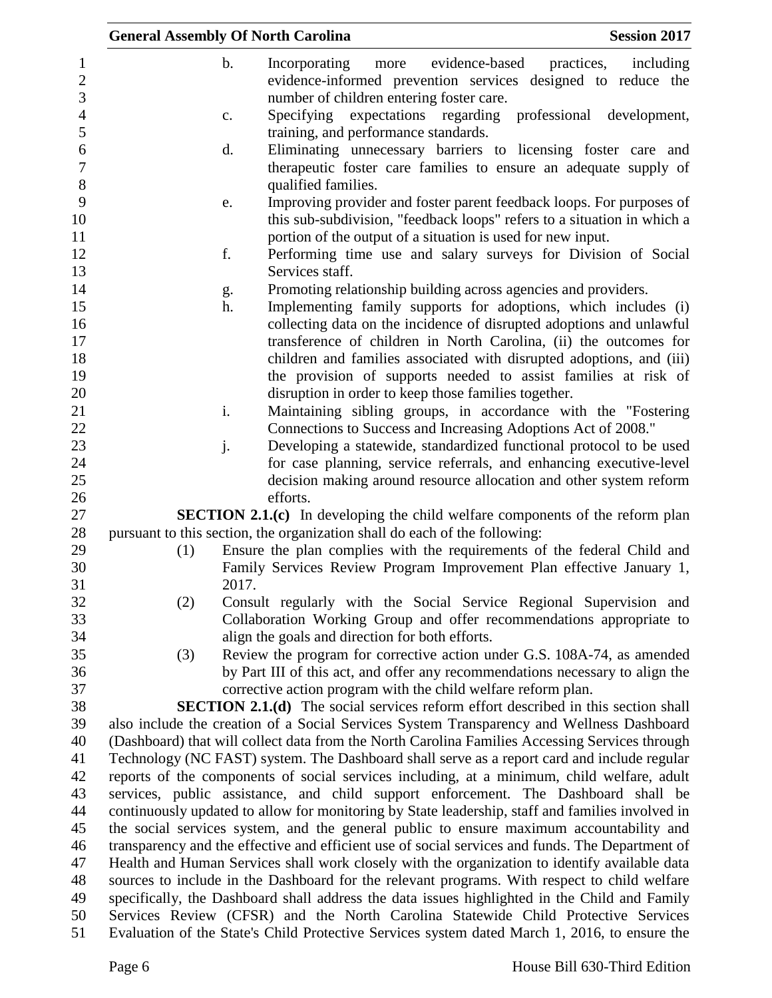|     |               | <b>General Assembly Of North Carolina</b>                                                        | <b>Session 2017</b>       |
|-----|---------------|--------------------------------------------------------------------------------------------------|---------------------------|
|     | $\mathbf b$ . | Incorporating<br>evidence-based<br>practices,<br>more                                            | including                 |
|     |               | evidence-informed prevention services designed to reduce the                                     |                           |
|     |               | number of children entering foster care.                                                         |                           |
|     | c.            | expectations regarding<br>Specifying                                                             | professional development, |
|     |               | training, and performance standards.                                                             |                           |
|     | d.            | Eliminating unnecessary barriers to licensing foster care and                                    |                           |
|     |               | therapeutic foster care families to ensure an adequate supply of                                 |                           |
|     |               | qualified families.                                                                              |                           |
|     | e.            | Improving provider and foster parent feedback loops. For purposes of                             |                           |
|     |               | this sub-subdivision, "feedback loops" refers to a situation in which a                          |                           |
|     |               | portion of the output of a situation is used for new input.                                      |                           |
|     | f.            | Performing time use and salary surveys for Division of Social                                    |                           |
|     |               | Services staff.                                                                                  |                           |
|     | g.            | Promoting relationship building across agencies and providers.                                   |                           |
|     | h.            | Implementing family supports for adoptions, which includes (i)                                   |                           |
|     |               | collecting data on the incidence of disrupted adoptions and unlawful                             |                           |
|     |               | transference of children in North Carolina, (ii) the outcomes for                                |                           |
|     |               | children and families associated with disrupted adoptions, and (iii)                             |                           |
|     |               | the provision of supports needed to assist families at risk of                                   |                           |
|     |               | disruption in order to keep those families together.                                             |                           |
|     | i.            | Maintaining sibling groups, in accordance with the "Fostering                                    |                           |
|     |               | Connections to Success and Increasing Adoptions Act of 2008."                                    |                           |
|     | j.            | Developing a statewide, standardized functional protocol to be used                              |                           |
|     |               | for case planning, service referrals, and enhancing executive-level                              |                           |
|     |               | decision making around resource allocation and other system reform                               |                           |
|     |               | efforts.                                                                                         |                           |
|     |               | <b>SECTION 2.1.(c)</b> In developing the child welfare components of the reform plan             |                           |
|     |               | pursuant to this section, the organization shall do each of the following:                       |                           |
| (1) |               | Ensure the plan complies with the requirements of the federal Child and                          |                           |
|     |               | Family Services Review Program Improvement Plan effective January 1,                             |                           |
|     | 2017.         |                                                                                                  |                           |
| (2) |               | Consult regularly with the Social Service Regional Supervision and                               |                           |
|     |               | Collaboration Working Group and offer recommendations appropriate to                             |                           |
|     |               | align the goals and direction for both efforts.                                                  |                           |
| (3) |               | Review the program for corrective action under G.S. 108A-74, as amended                          |                           |
|     |               | by Part III of this act, and offer any recommendations necessary to align the                    |                           |
|     |               | corrective action program with the child welfare reform plan.                                    |                           |
|     |               | <b>SECTION 2.1.(d)</b> The social services reform effort described in this section shall         |                           |
|     |               | also include the creation of a Social Services System Transparency and Wellness Dashboard        |                           |
|     |               | (Dashboard) that will collect data from the North Carolina Families Accessing Services through   |                           |
|     |               | Technology (NC FAST) system. The Dashboard shall serve as a report card and include regular      |                           |
|     |               | reports of the components of social services including, at a minimum, child welfare, adult       |                           |
|     |               | services, public assistance, and child support enforcement. The Dashboard shall be               |                           |
|     |               | continuously updated to allow for monitoring by State leadership, staff and families involved in |                           |
|     |               | the social services system, and the general public to ensure maximum accountability and          |                           |
|     |               | transparency and the effective and efficient use of social services and funds. The Department of |                           |
|     |               | Health and Human Services shall work closely with the organization to identify available data    |                           |
|     |               | sources to include in the Dashboard for the relevant programs. With respect to child welfare     |                           |
|     |               | specifically, the Dashboard shall address the data issues highlighted in the Child and Family    |                           |
|     |               | Services Review (CFSR) and the North Carolina Statewide Child Protective Services                |                           |
|     |               | Evaluation of the State's Child Protective Services system dated March 1, 2016, to ensure the    |                           |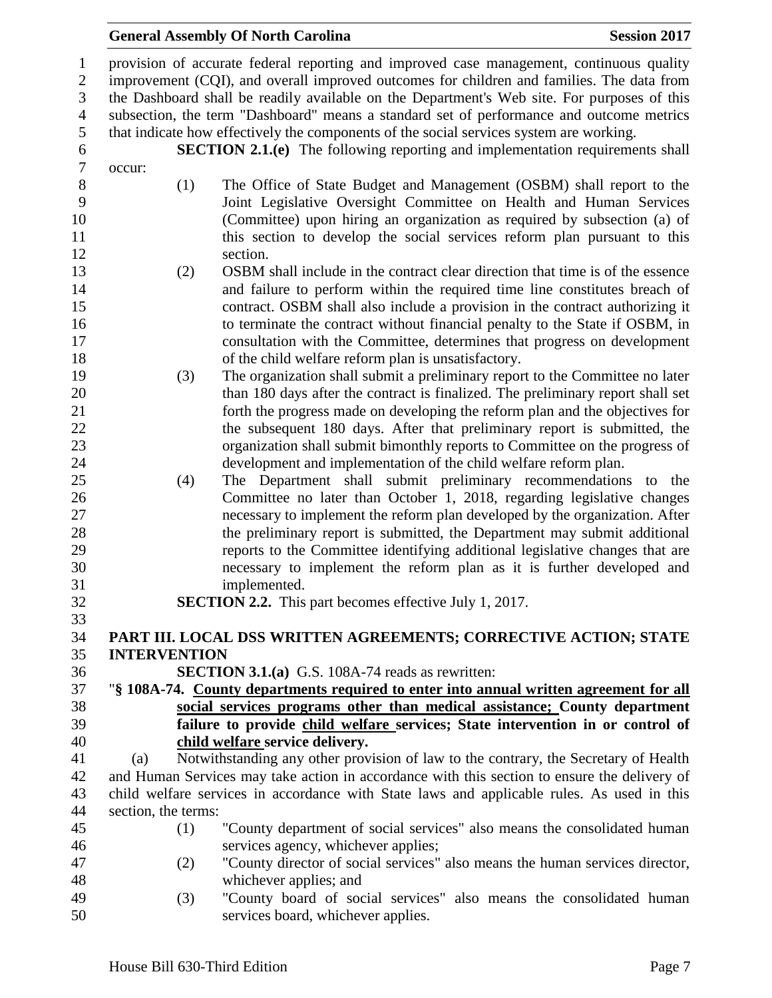provision of accurate federal reporting and improved case management, continuous quality improvement (CQI), and overall improved outcomes for children and families. The data from the Dashboard shall be readily available on the Department's Web site. For purposes of this subsection, the term "Dashboard" means a standard set of performance and outcome metrics that indicate how effectively the components of the social services system are working.

occur:

**SECTION 2.1.(e)** The following reporting and implementation requirements shall occur: (1) The Office of State Budget and Management (OSBM) shall report to the Joint Legislative Oversight Committee on Health and Human Services (Committee) upon hiring an organization as required by subsection (a) of

- this section to develop the social services reform plan pursuant to this 12 section. (2) OSBM shall include in the contract clear direction that time is of the essence and failure to perform within the required time line constitutes breach of contract. OSBM shall also include a provision in the contract authorizing it 16 to terminate the contract without financial penalty to the State if OSBM, in consultation with the Committee, determines that progress on development of the child welfare reform plan is unsatisfactory.
- (3) The organization shall submit a preliminary report to the Committee no later than 180 days after the contract is finalized. The preliminary report shall set forth the progress made on developing the reform plan and the objectives for 22 the subsequent 180 days. After that preliminary report is submitted, the organization shall submit bimonthly reports to Committee on the progress of development and implementation of the child welfare reform plan.
- (4) The Department shall submit preliminary recommendations to the Committee no later than October 1, 2018, regarding legislative changes necessary to implement the reform plan developed by the organization. After the preliminary report is submitted, the Department may submit additional reports to the Committee identifying additional legislative changes that are necessary to implement the reform plan as it is further developed and implemented.
- 

**SECTION 2.2.** This part becomes effective July 1, 2017.

# **PART III. LOCAL DSS WRITTEN AGREEMENTS; CORRECTIVE ACTION; STATE INTERVENTION**

- **SECTION 3.1.(a)** G.S. 108A-74 reads as rewritten:
- "**§ 108A-74. County departments required to enter into annual written agreement for all social services programs other than medical assistance; County department failure to provide child welfare services; State intervention in or control of child welfare service delivery.**

 (a) Notwithstanding any other provision of law to the contrary, the Secretary of Health and Human Services may take action in accordance with this section to ensure the delivery of child welfare services in accordance with State laws and applicable rules. As used in this section, the terms:

- (1) "County department of social services" also means the consolidated human services agency, whichever applies;
- (2) "County director of social services" also means the human services director, whichever applies; and
- (3) "County board of social services" also means the consolidated human services board, whichever applies.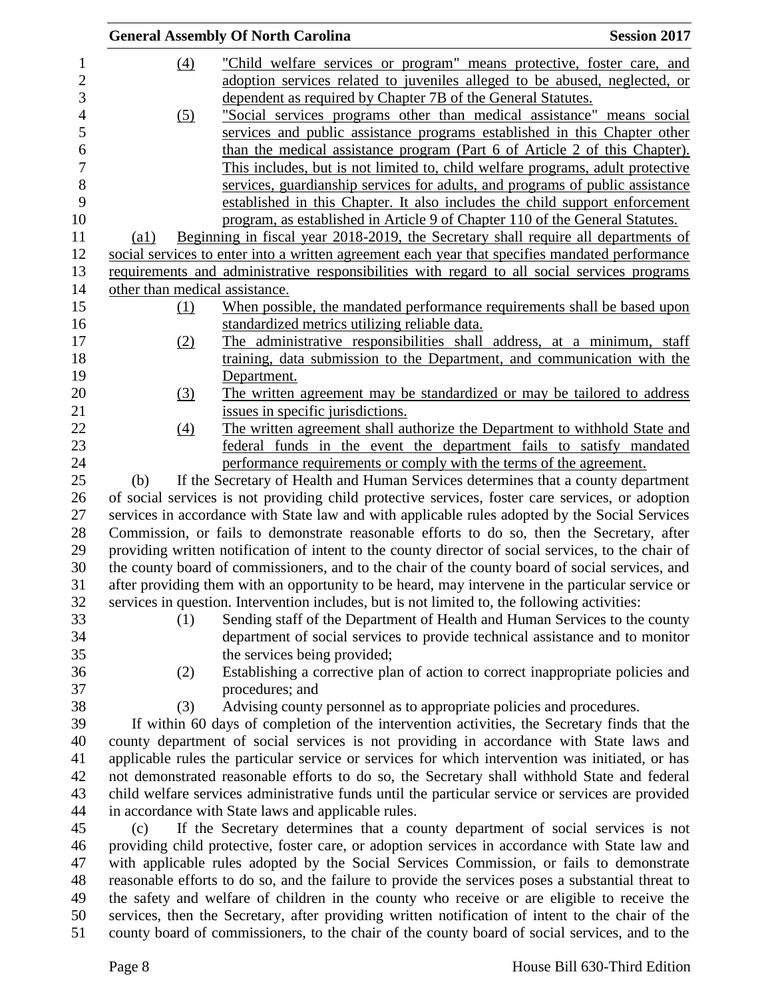|                                | <b>General Assembly Of North Carolina</b>                                                                                                                                                              | <b>Session 2017</b> |
|--------------------------------|--------------------------------------------------------------------------------------------------------------------------------------------------------------------------------------------------------|---------------------|
| $\left(4\right)$               | "Child welfare services or program" means protective, foster care, and                                                                                                                                 |                     |
|                                | adoption services related to juveniles alleged to be abused, neglected, or                                                                                                                             |                     |
|                                | dependent as required by Chapter 7B of the General Statutes.                                                                                                                                           |                     |
| (5)                            | "Social services programs other than medical assistance" means social                                                                                                                                  |                     |
|                                | services and public assistance programs established in this Chapter other                                                                                                                              |                     |
|                                | than the medical assistance program (Part 6 of Article 2 of this Chapter).                                                                                                                             |                     |
|                                | This includes, but is not limited to, child welfare programs, adult protective                                                                                                                         |                     |
|                                | services, guardianship services for adults, and programs of public assistance                                                                                                                          |                     |
|                                | established in this Chapter. It also includes the child support enforcement                                                                                                                            |                     |
|                                | program, as established in Article 9 of Chapter 110 of the General Statutes.                                                                                                                           |                     |
| $\left( a1\right)$             | Beginning in fiscal year 2018-2019, the Secretary shall require all departments of                                                                                                                     |                     |
|                                | social services to enter into a written agreement each year that specifies mandated performance                                                                                                        |                     |
|                                | requirements and administrative responsibilities with regard to all social services programs                                                                                                           |                     |
| other than medical assistance. |                                                                                                                                                                                                        |                     |
|                                |                                                                                                                                                                                                        |                     |
| (1)                            | When possible, the mandated performance requirements shall be based upon<br>standardized metrics utilizing reliable data.                                                                              |                     |
| (2)                            | The administrative responsibilities shall address, at a minimum, staff                                                                                                                                 |                     |
|                                | training, data submission to the Department, and communication with the                                                                                                                                |                     |
|                                |                                                                                                                                                                                                        |                     |
|                                | Department.                                                                                                                                                                                            |                     |
| (3)                            | The written agreement may be standardized or may be tailored to address                                                                                                                                |                     |
|                                | issues in specific jurisdictions.                                                                                                                                                                      |                     |
| $\left(4\right)$               | The written agreement shall authorize the Department to withhold State and                                                                                                                             |                     |
|                                | federal funds in the event the department fails to satisfy mandated                                                                                                                                    |                     |
| (b)                            | performance requirements or comply with the terms of the agreement.                                                                                                                                    |                     |
|                                | If the Secretary of Health and Human Services determines that a county department                                                                                                                      |                     |
|                                | of social services is not providing child protective services, foster care services, or adoption                                                                                                       |                     |
|                                | services in accordance with State law and with applicable rules adopted by the Social Services                                                                                                         |                     |
|                                | Commission, or fails to demonstrate reasonable efforts to do so, then the Secretary, after                                                                                                             |                     |
|                                | providing written notification of intent to the county director of social services, to the chair of<br>the county board of commissioners, and to the chair of the county board of social services, and |                     |
|                                |                                                                                                                                                                                                        |                     |
|                                | after providing them with an opportunity to be heard, may intervene in the particular service or                                                                                                       |                     |
|                                | services in question. Intervention includes, but is not limited to, the following activities:                                                                                                          |                     |
| (1)                            | Sending staff of the Department of Health and Human Services to the county                                                                                                                             |                     |
|                                | department of social services to provide technical assistance and to monitor                                                                                                                           |                     |
|                                | the services being provided;                                                                                                                                                                           |                     |
| (2)                            | Establishing a corrective plan of action to correct inappropriate policies and                                                                                                                         |                     |
|                                | procedures; and                                                                                                                                                                                        |                     |
| (3)                            | Advising county personnel as to appropriate policies and procedures.                                                                                                                                   |                     |
|                                | If within 60 days of completion of the intervention activities, the Secretary finds that the                                                                                                           |                     |
|                                | county department of social services is not providing in accordance with State laws and                                                                                                                |                     |
|                                | applicable rules the particular service or services for which intervention was initiated, or has                                                                                                       |                     |
|                                | not demonstrated reasonable efforts to do so, the Secretary shall withhold State and federal                                                                                                           |                     |
|                                | child welfare services administrative funds until the particular service or services are provided                                                                                                      |                     |
|                                | in accordance with State laws and applicable rules.                                                                                                                                                    |                     |
| (c)                            | If the Secretary determines that a county department of social services is not                                                                                                                         |                     |
|                                | providing child protective, foster care, or adoption services in accordance with State law and                                                                                                         |                     |
|                                | with applicable rules adopted by the Social Services Commission, or fails to demonstrate                                                                                                               |                     |
|                                | reasonable efforts to do so, and the failure to provide the services poses a substantial threat to                                                                                                     |                     |
|                                | the safety and welfare of children in the county who receive or are eligible to receive the                                                                                                            |                     |
|                                | services, then the Secretary, after providing written notification of intent to the chair of the                                                                                                       |                     |
|                                | county board of commissioners, to the chair of the county board of social services, and to the                                                                                                         |                     |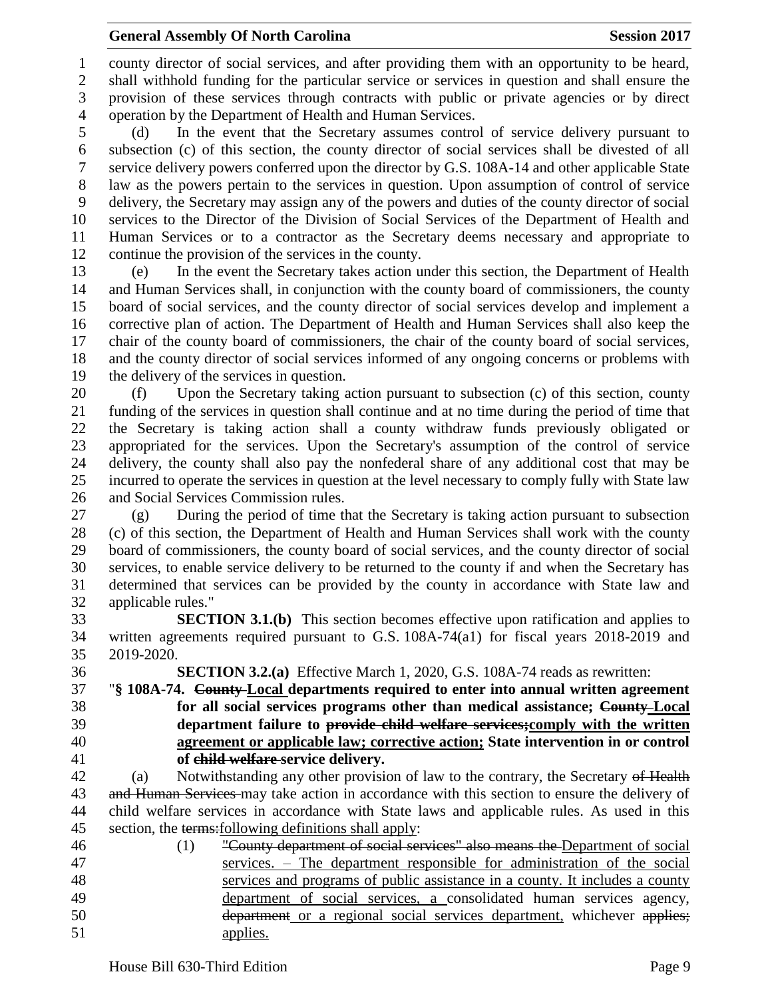county director of social services, and after providing them with an opportunity to be heard, shall withhold funding for the particular service or services in question and shall ensure the provision of these services through contracts with public or private agencies or by direct operation by the Department of Health and Human Services.

 (d) In the event that the Secretary assumes control of service delivery pursuant to subsection (c) of this section, the county director of social services shall be divested of all service delivery powers conferred upon the director by G.S. 108A-14 and other applicable State law as the powers pertain to the services in question. Upon assumption of control of service delivery, the Secretary may assign any of the powers and duties of the county director of social services to the Director of the Division of Social Services of the Department of Health and Human Services or to a contractor as the Secretary deems necessary and appropriate to continue the provision of the services in the county.

 (e) In the event the Secretary takes action under this section, the Department of Health and Human Services shall, in conjunction with the county board of commissioners, the county board of social services, and the county director of social services develop and implement a corrective plan of action. The Department of Health and Human Services shall also keep the chair of the county board of commissioners, the chair of the county board of social services, and the county director of social services informed of any ongoing concerns or problems with the delivery of the services in question.

 (f) Upon the Secretary taking action pursuant to subsection (c) of this section, county funding of the services in question shall continue and at no time during the period of time that the Secretary is taking action shall a county withdraw funds previously obligated or appropriated for the services. Upon the Secretary's assumption of the control of service delivery, the county shall also pay the nonfederal share of any additional cost that may be incurred to operate the services in question at the level necessary to comply fully with State law and Social Services Commission rules.

 (g) During the period of time that the Secretary is taking action pursuant to subsection (c) of this section, the Department of Health and Human Services shall work with the county board of commissioners, the county board of social services, and the county director of social services, to enable service delivery to be returned to the county if and when the Secretary has determined that services can be provided by the county in accordance with State law and applicable rules."

 **SECTION 3.1.(b)** This section becomes effective upon ratification and applies to written agreements required pursuant to G.S. 108A-74(a1) for fiscal years 2018-2019 and 2019-2020.

**SECTION 3.2.(a)** Effective March 1, 2020, G.S. 108A-74 reads as rewritten:

"**§ 108A-74. County Local departments required to enter into annual written agreement** 

- -
	-

# **for all social services programs other than medical assistance; County Local department failure to provide child welfare services;comply with the written agreement or applicable law; corrective action; State intervention in or control of child welfare service delivery.**

 (a) Notwithstanding any other provision of law to the contrary, the Secretary of Health 43 and Human Services may take action in accordance with this section to ensure the delivery of child welfare services in accordance with State laws and applicable rules. As used in this section, the terms:following definitions shall apply:

 (1) "County department of social services" also means the Department of social services. – The department responsible for administration of the social services and programs of public assistance in a county. It includes a county department of social services, a consolidated human services agency, department or a regional social services department, whichever applies; applies.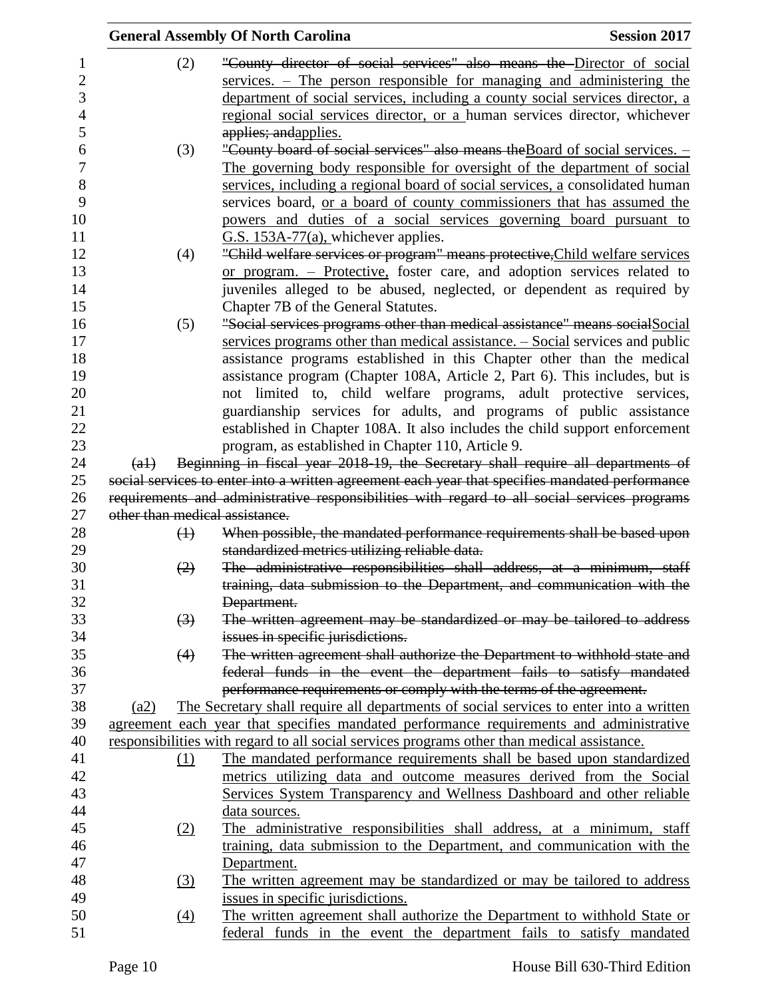|                           |                   | <b>General Assembly Of North Carolina</b>                                                       | <b>Session 2017</b> |
|---------------------------|-------------------|-------------------------------------------------------------------------------------------------|---------------------|
|                           | (2)               | "County director of social services" also means the Director of social                          |                     |
|                           |                   | services. – The person responsible for managing and administering the                           |                     |
|                           |                   | department of social services, including a county social services director, a                   |                     |
|                           |                   | regional social services director, or a human services director, whichever                      |                     |
|                           |                   | applies; and applies.                                                                           |                     |
|                           | (3)               | "County board of social services" also means the Board of social services. -                    |                     |
|                           |                   | The governing body responsible for oversight of the department of social                        |                     |
|                           |                   | services, including a regional board of social services, a consolidated human                   |                     |
|                           |                   | services board, or a board of county commissioners that has assumed the                         |                     |
|                           |                   | powers and duties of a social services governing board pursuant to                              |                     |
|                           |                   | $G.S. 153A-77(a)$ , whichever applies.                                                          |                     |
|                           | (4)               | "Child welfare services or program" means protective, Child welfare services                    |                     |
|                           |                   | or program. - Protective, foster care, and adoption services related to                         |                     |
|                           |                   | juveniles alleged to be abused, neglected, or dependent as required by                          |                     |
|                           |                   | Chapter 7B of the General Statutes.                                                             |                     |
|                           | (5)               | "Social services programs other than medical assistance" means social Social                    |                     |
|                           |                   | services programs other than medical assistance. $-$ Social services and public                 |                     |
|                           |                   | assistance programs established in this Chapter other than the medical                          |                     |
|                           |                   | assistance program (Chapter 108A, Article 2, Part 6). This includes, but is                     |                     |
|                           |                   | not limited to, child welfare programs, adult protective services,                              |                     |
|                           |                   | guardianship services for adults, and programs of public assistance                             |                     |
|                           |                   | established in Chapter 108A. It also includes the child support enforcement                     |                     |
|                           |                   | program, as established in Chapter 110, Article 9.                                              |                     |
| $\left(\mathrm{a}\right)$ |                   | Beginning in fiscal year 2018-19, the Secretary shall require all departments of                |                     |
|                           |                   | social services to enter into a written agreement each year that specifies mandated performance |                     |
|                           |                   | requirements and administrative responsibilities with regard to all social services programs    |                     |
|                           |                   | other than medical assistance.                                                                  |                     |
|                           | $\bigoplus$       | When possible, the mandated performance requirements shall be based upon                        |                     |
|                           |                   | standardized metrics utilizing reliable data.                                                   |                     |
|                           | (2)               | The administrative responsibilities shall address, at a minimum, staff                          |                     |
|                           |                   | training, data submission to the Department, and communication with the                         |                     |
|                           |                   | Department.                                                                                     |                     |
|                           | $\left(3\right)$  | The written agreement may be standardized or may be tailored to address                         |                     |
|                           |                   | issues in specific jurisdictions.                                                               |                     |
|                           | (4)               | The written agreement shall authorize the Department to withhold state and                      |                     |
|                           |                   | federal funds in the event the department fails to satisfy mandated                             |                     |
|                           |                   | performance requirements or comply with the terms of the agreement.                             |                     |
| (a2)                      |                   | The Secretary shall require all departments of social services to enter into a written          |                     |
|                           |                   | agreement each year that specifies mandated performance requirements and administrative         |                     |
|                           |                   | responsibilities with regard to all social services programs other than medical assistance.     |                     |
|                           | $\Omega$          | The mandated performance requirements shall be based upon standardized                          |                     |
|                           |                   | metrics utilizing data and outcome measures derived from the Social                             |                     |
|                           |                   | Services System Transparency and Wellness Dashboard and other reliable                          |                     |
|                           |                   | data sources.                                                                                   |                     |
|                           | (2)               | The administrative responsibilities shall address, at a minimum, staff                          |                     |
|                           |                   | training, data submission to the Department, and communication with the                         |                     |
|                           |                   | Department.                                                                                     |                     |
|                           | $\left(3\right)$  | The written agreement may be standardized or may be tailored to address                         |                     |
|                           |                   | issues in specific jurisdictions.                                                               |                     |
|                           | $\underline{(4)}$ | The written agreement shall authorize the Department to withhold State or                       |                     |
|                           |                   | federal funds in the event the department fails to satisfy mandated                             |                     |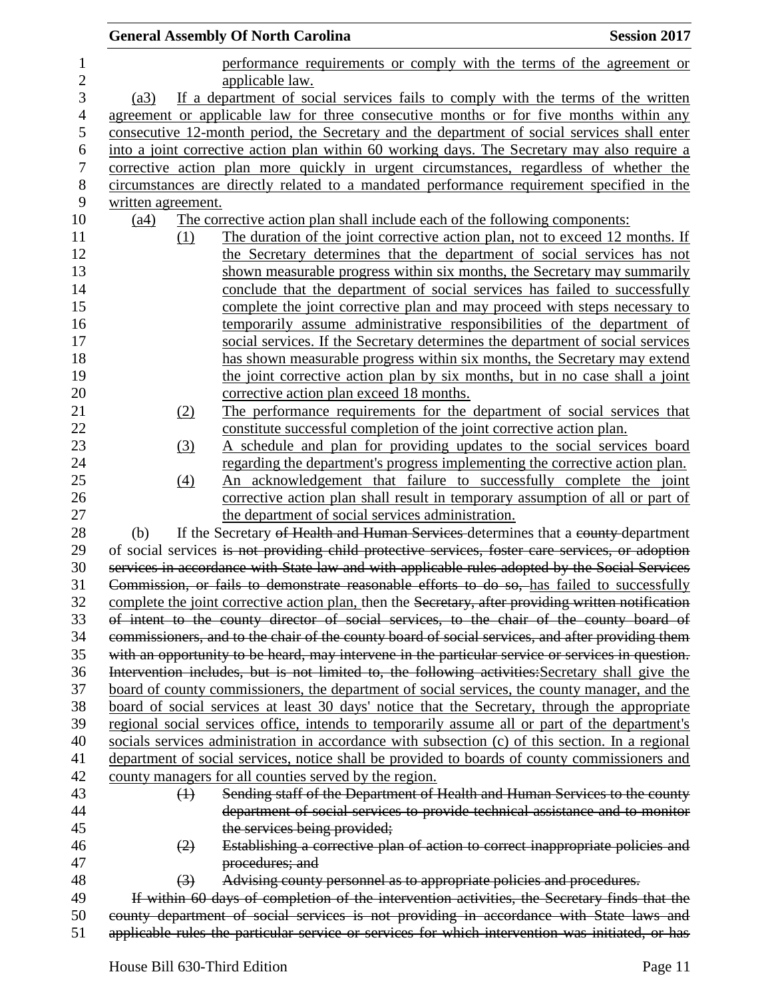|                |                    | <b>General Assembly Of North Carolina</b>                                                           | <b>Session 2017</b> |
|----------------|--------------------|-----------------------------------------------------------------------------------------------------|---------------------|
| $\mathbf{1}$   |                    | performance requirements or comply with the terms of the agreement or                               |                     |
| $\overline{2}$ |                    | applicable law.                                                                                     |                     |
| $\mathfrak{Z}$ | (a3)               | If a department of social services fails to comply with the terms of the written                    |                     |
| $\overline{4}$ |                    | agreement or applicable law for three consecutive months or for five months within any              |                     |
| 5              |                    | consecutive 12-month period, the Secretary and the department of social services shall enter        |                     |
| 6              |                    | into a joint corrective action plan within 60 working days. The Secretary may also require a        |                     |
| $\tau$         |                    | corrective action plan more quickly in urgent circumstances, regardless of whether the              |                     |
| 8              |                    | circumstances are directly related to a mandated performance requirement specified in the           |                     |
| 9              | written agreement. |                                                                                                     |                     |
| 10             | (a4)               | The corrective action plan shall include each of the following components:                          |                     |
| 11             | (1)                | The duration of the joint corrective action plan, not to exceed 12 months. If                       |                     |
| 12             |                    | the Secretary determines that the department of social services has not                             |                     |
| 13             |                    | shown measurable progress within six months, the Secretary may summarily                            |                     |
| 14             |                    | conclude that the department of social services has failed to successfully                          |                     |
| 15             |                    | complete the joint corrective plan and may proceed with steps necessary to                          |                     |
| 16             |                    | temporarily assume administrative responsibilities of the department of                             |                     |
| 17             |                    | social services. If the Secretary determines the department of social services                      |                     |
| 18             |                    | has shown measurable progress within six months, the Secretary may extend                           |                     |
| 19             |                    | the joint corrective action plan by six months, but in no case shall a joint                        |                     |
| 20             |                    | corrective action plan exceed 18 months.                                                            |                     |
| 21             | (2)                | The performance requirements for the department of social services that                             |                     |
| 22             |                    | constitute successful completion of the joint corrective action plan.                               |                     |
| 23             | (3)                | A schedule and plan for providing updates to the social services board                              |                     |
| 24             |                    | regarding the department's progress implementing the corrective action plan.                        |                     |
| 25             | (4)                | An acknowledgement that failure to successfully complete the joint                                  |                     |
| 26             |                    | corrective action plan shall result in temporary assumption of all or part of                       |                     |
| 27             |                    | the department of social services administration.                                                   |                     |
| 28             | (b)                | If the Secretary of Health and Human Services determines that a county-department                   |                     |
| 29             |                    | of social services is not providing child protective services, foster care services, or adoption    |                     |
| 30             |                    | services in accordance with State law and with applicable rules adopted by the Social Services      |                     |
| 31             |                    | Commission, or fails to demonstrate reasonable efforts to do so, has failed to successfully         |                     |
| 32             |                    | complete the joint corrective action plan, then the Secretary, after providing written notification |                     |
| 33             |                    | of intent to the county director of social services, to the chair of the county board of            |                     |
| 34             |                    | commissioners, and to the chair of the county board of social services, and after providing them    |                     |
| 35             |                    | with an opportunity to be heard, may intervene in the particular service or services in question.   |                     |
| 36             |                    | Intervention includes, but is not limited to, the following activities: Secretary shall give the    |                     |
| 37             |                    | board of county commissioners, the department of social services, the county manager, and the       |                     |
| 38             |                    | board of social services at least 30 days' notice that the Secretary, through the appropriate       |                     |
| 39             |                    | regional social services office, intends to temporarily assume all or part of the department's      |                     |
| 40             |                    | socials services administration in accordance with subsection (c) of this section. In a regional    |                     |
| 41             |                    | department of social services, notice shall be provided to boards of county commissioners and       |                     |
| 42             |                    | county managers for all counties served by the region.                                              |                     |
| 43             | $\bigoplus$        | Sending staff of the Department of Health and Human Services to the county                          |                     |
| 44             |                    | department of social services to provide technical assistance and to monitor                        |                     |
| 45             |                    | the services being provided;                                                                        |                     |
| 46             | (2)                | Establishing a corrective plan of action to correct inappropriate policies and                      |                     |
| 47             |                    | procedures; and                                                                                     |                     |
| 48             | $\left(3\right)$   | Advising county personnel as to appropriate policies and procedures.                                |                     |
| 49             |                    | If within 60 days of completion of the intervention activities, the Secretary finds that the        |                     |
| 50             |                    | county department of social services is not providing in accordance with State laws and             |                     |
| 51             |                    | applicable rules the particular service or services for which intervention was initiated, or has    |                     |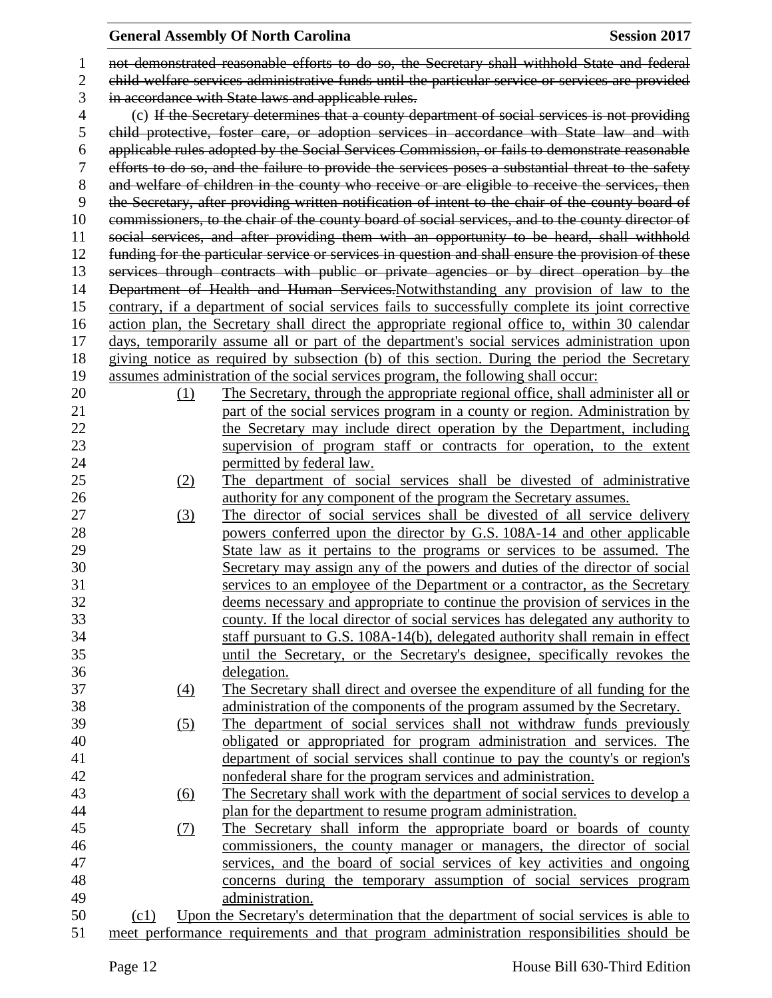| $\mathbf{1}$   |                                                                                              | not demonstrated reasonable efforts to do so, the Secretary shall withhold State and federal                                                  |  |
|----------------|----------------------------------------------------------------------------------------------|-----------------------------------------------------------------------------------------------------------------------------------------------|--|
| $\overline{2}$ |                                                                                              | child welfare services administrative funds until the particular service or services are provided                                             |  |
| 3              | in accordance with State laws and applicable rules.                                          |                                                                                                                                               |  |
| $\overline{4}$ | (c) If the Secretary determines that a county department of social services is not providing |                                                                                                                                               |  |
| 5              |                                                                                              | child protective, foster care, or adoption services in accordance with State law and with                                                     |  |
| 6              |                                                                                              | applicable rules adopted by the Social Services Commission, or fails to demonstrate reasonable                                                |  |
| 7              |                                                                                              | efforts to do so, and the failure to provide the services poses a substantial threat to the safety                                            |  |
| 8              |                                                                                              | and welfare of children in the county who receive or are eligible to receive the services, then                                               |  |
| 9              |                                                                                              | the Secretary, after providing written notification of intent to the chair of the county board of                                             |  |
| 10             |                                                                                              | commissioners, to the chair of the county board of social services, and to the county director of                                             |  |
| 11             |                                                                                              | social services, and after providing them with an opportunity to be heard, shall withhold                                                     |  |
| 12             |                                                                                              | funding for the particular service or services in question and shall ensure the provision of these                                            |  |
| 13             |                                                                                              | services through contracts with public or private agencies or by direct operation by the                                                      |  |
| 14             |                                                                                              | Department of Health and Human Services. Notwithstanding any provision of law to the                                                          |  |
| 15             |                                                                                              | contrary, if a department of social services fails to successfully complete its joint corrective                                              |  |
| 16             |                                                                                              | action plan, the Secretary shall direct the appropriate regional office to, within 30 calendar                                                |  |
| 17             |                                                                                              | days, temporarily assume all or part of the department's social services administration upon                                                  |  |
| 18             |                                                                                              | giving notice as required by subsection (b) of this section. During the period the Secretary                                                  |  |
| 19             |                                                                                              | assumes administration of the social services program, the following shall occur:                                                             |  |
| 20             | (1)                                                                                          | The Secretary, through the appropriate regional office, shall administer all or                                                               |  |
| 21             |                                                                                              | part of the social services program in a county or region. Administration by                                                                  |  |
| 22             |                                                                                              | the Secretary may include direct operation by the Department, including                                                                       |  |
| 23             |                                                                                              | supervision of program staff or contracts for operation, to the extent                                                                        |  |
| 24             |                                                                                              | permitted by federal law.                                                                                                                     |  |
| 25             | (2)                                                                                          | The department of social services shall be divested of administrative                                                                         |  |
| 26             |                                                                                              | authority for any component of the program the Secretary assumes.                                                                             |  |
| 27             | (3)                                                                                          | The director of social services shall be divested of all service delivery                                                                     |  |
| 28             |                                                                                              | powers conferred upon the director by G.S. 108A-14 and other applicable                                                                       |  |
| 29             |                                                                                              | State law as it pertains to the programs or services to be assumed. The                                                                       |  |
| 30             |                                                                                              | Secretary may assign any of the powers and duties of the director of social                                                                   |  |
| 31             |                                                                                              | services to an employee of the Department or a contractor, as the Secretary                                                                   |  |
| 32             |                                                                                              | deems necessary and appropriate to continue the provision of services in the                                                                  |  |
| 33             |                                                                                              | county. If the local director of social services has delegated any authority to                                                               |  |
| 34             |                                                                                              | staff pursuant to G.S. 108A-14(b), delegated authority shall remain in effect                                                                 |  |
| 35             |                                                                                              | until the Secretary, or the Secretary's designee, specifically revokes the                                                                    |  |
| 36             |                                                                                              | delegation.                                                                                                                                   |  |
| 37             | $\left(4\right)$                                                                             | The Secretary shall direct and oversee the expenditure of all funding for the                                                                 |  |
| 38             |                                                                                              | administration of the components of the program assumed by the Secretary.                                                                     |  |
| 39             | (5)                                                                                          | The department of social services shall not withdraw funds previously                                                                         |  |
| 40             |                                                                                              | obligated or appropriated for program administration and services. The                                                                        |  |
| 41             |                                                                                              | department of social services shall continue to pay the county's or region's                                                                  |  |
| 42             |                                                                                              | nonfederal share for the program services and administration.                                                                                 |  |
| 43             |                                                                                              | The Secretary shall work with the department of social services to develop a                                                                  |  |
| 44             | $\underline{(6)}$                                                                            | plan for the department to resume program administration.                                                                                     |  |
| 45             |                                                                                              |                                                                                                                                               |  |
| 46             | (7)                                                                                          | The Secretary shall inform the appropriate board or boards of county<br>commissioners, the county manager or managers, the director of social |  |
| 47             |                                                                                              | services, and the board of social services of key activities and ongoing                                                                      |  |
| 48             |                                                                                              |                                                                                                                                               |  |
| 49             |                                                                                              | concerns during the temporary assumption of social services program<br>administration.                                                        |  |
| 50             | (c1)                                                                                         | Upon the Secretary's determination that the department of social services is able to                                                          |  |
| 51             |                                                                                              | meet performance requirements and that program administration responsibilities should be                                                      |  |
|                |                                                                                              |                                                                                                                                               |  |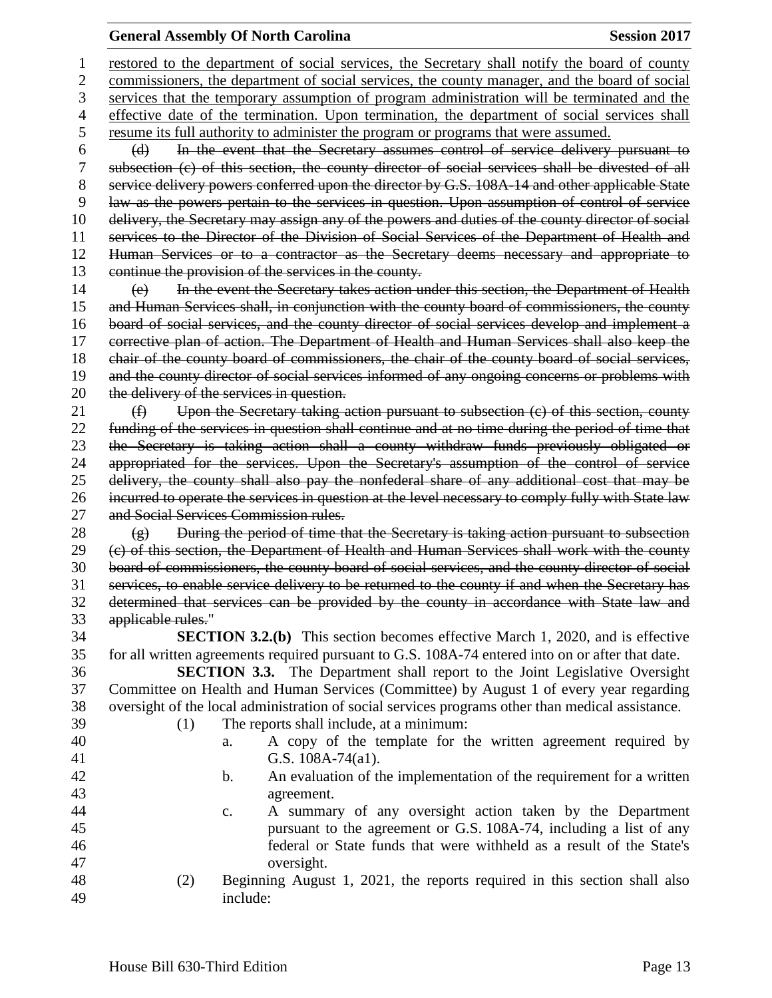restored to the department of social services, the Secretary shall notify the board of county commissioners, the department of social services, the county manager, and the board of social services that the temporary assumption of program administration will be terminated and the effective date of the termination. Upon termination, the department of social services shall resume its full authority to administer the program or programs that were assumed. (d) In the event that the Secretary assumes control of service delivery pursuant to subsection (c) of this section, the county director of social services shall be divested of all 8 service delivery powers conferred upon the director by G.S. 108A-14 and other applicable State law as the powers pertain to the services in question. Upon assumption of control of service delivery, the Secretary may assign any of the powers and duties of the county director of social services to the Director of the Division of Social Services of the Department of Health and Human Services or to a contractor as the Secretary deems necessary and appropriate to continue the provision of the services in the county. (e) In the event the Secretary takes action under this section, the Department of Health and Human Services shall, in conjunction with the county board of commissioners, the county board of social services, and the county director of social services develop and implement a corrective plan of action. The Department of Health and Human Services shall also keep the chair of the county board of commissioners, the chair of the county board of social services, 19 and the county director of social services informed of any ongoing concerns or problems with 20 the delivery of the services in question. (f) Upon the Secretary taking action pursuant to subsection (c) of this section, county funding of the services in question shall continue and at no time during the period of time that the Secretary is taking action shall a county withdraw funds previously obligated or appropriated for the services. Upon the Secretary's assumption of the control of service delivery, the county shall also pay the nonfederal share of any additional cost that may be incurred to operate the services in question at the level necessary to comply fully with State law and Social Services Commission rules.  $(g)$  During the period of time that the Secretary is taking action pursuant to subsection (c) of this section, the Department of Health and Human Services shall work with the county board of commissioners, the county board of social services, and the county director of social services, to enable service delivery to be returned to the county if and when the Secretary has determined that services can be provided by the county in accordance with State law and applicable rules." **SECTION 3.2.(b)** This section becomes effective March 1, 2020, and is effective for all written agreements required pursuant to G.S. 108A-74 entered into on or after that date. **SECTION 3.3.** The Department shall report to the Joint Legislative Oversight Committee on Health and Human Services (Committee) by August 1 of every year regarding oversight of the local administration of social services programs other than medical assistance. (1) The reports shall include, at a minimum: a. A copy of the template for the written agreement required by G.S. 108A-74(a1). b. An evaluation of the implementation of the requirement for a written agreement. c. A summary of any oversight action taken by the Department pursuant to the agreement or G.S. 108A-74, including a list of any federal or State funds that were withheld as a result of the State's oversight. (2) Beginning August 1, 2021, the reports required in this section shall also include: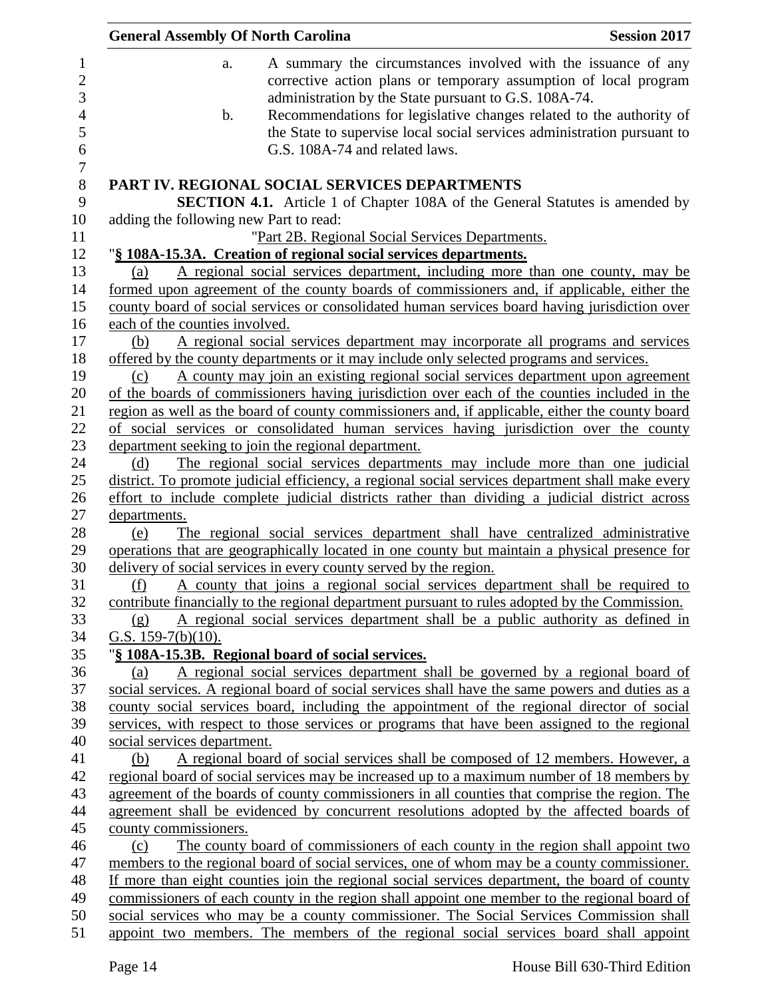|                                        | <b>General Assembly Of North Carolina</b>                                                                                                                                                  | <b>Session 2017</b> |
|----------------------------------------|--------------------------------------------------------------------------------------------------------------------------------------------------------------------------------------------|---------------------|
| a.                                     | A summary the circumstances involved with the issuance of any<br>corrective action plans or temporary assumption of local program<br>administration by the State pursuant to G.S. 108A-74. |                     |
| $\mathbf b$ .                          | Recommendations for legislative changes related to the authority of<br>the State to supervise local social services administration pursuant to<br>G.S. 108A-74 and related laws.           |                     |
|                                        | <b>PART IV. REGIONAL SOCIAL SERVICES DEPARTMENTS</b><br><b>SECTION 4.1.</b> Article 1 of Chapter 108A of the General Statutes is amended by                                                |                     |
| adding the following new Part to read: |                                                                                                                                                                                            |                     |
|                                        | "Part 2B. Regional Social Services Departments.                                                                                                                                            |                     |
|                                        | "§ 108A-15.3A. Creation of regional social services departments.                                                                                                                           |                     |
| (a)                                    | A regional social services department, including more than one county, may be                                                                                                              |                     |
|                                        | formed upon agreement of the county boards of commissioners and, if applicable, either the                                                                                                 |                     |
|                                        | county board of social services or consolidated human services board having jurisdiction over                                                                                              |                     |
| each of the counties involved.         |                                                                                                                                                                                            |                     |
| (b)                                    | A regional social services department may incorporate all programs and services                                                                                                            |                     |
|                                        | offered by the county departments or it may include only selected programs and services.                                                                                                   |                     |
| (c)                                    | A county may join an existing regional social services department upon agreement                                                                                                           |                     |
|                                        | of the boards of commissioners having jurisdiction over each of the counties included in the                                                                                               |                     |
|                                        | region as well as the board of county commissioners and, if applicable, either the county board                                                                                            |                     |
|                                        | of social services or consolidated human services having jurisdiction over the county                                                                                                      |                     |
|                                        | department seeking to join the regional department.                                                                                                                                        |                     |
| (d)                                    | The regional social services departments may include more than one judicial                                                                                                                |                     |
|                                        | district. To promote judicial efficiency, a regional social services department shall make every                                                                                           |                     |
|                                        | effort to include complete judicial districts rather than dividing a judicial district across                                                                                              |                     |
| departments.                           |                                                                                                                                                                                            |                     |
| (e)                                    | The regional social services department shall have centralized administrative                                                                                                              |                     |
|                                        | operations that are geographically located in one county but maintain a physical presence for                                                                                              |                     |
|                                        | delivery of social services in every county served by the region.                                                                                                                          |                     |
| (f)                                    | A county that joins a regional social services department shall be required to                                                                                                             |                     |
|                                        | contribute financially to the regional department pursuant to rules adopted by the Commission.                                                                                             |                     |
| (g)                                    | A regional social services department shall be a public authority as defined in                                                                                                            |                     |
| G.S. $159-7(b)(10)$ .                  |                                                                                                                                                                                            |                     |
|                                        | "§ 108A-15.3B. Regional board of social services.                                                                                                                                          |                     |
| (a)                                    | A regional social services department shall be governed by a regional board of                                                                                                             |                     |
|                                        | social services. A regional board of social services shall have the same powers and duties as a                                                                                            |                     |
|                                        | county social services board, including the appointment of the regional director of social                                                                                                 |                     |
|                                        | services, with respect to those services or programs that have been assigned to the regional                                                                                               |                     |
| social services department.            |                                                                                                                                                                                            |                     |
| (b)                                    | A regional board of social services shall be composed of 12 members. However, a                                                                                                            |                     |
|                                        | regional board of social services may be increased up to a maximum number of 18 members by                                                                                                 |                     |
|                                        | agreement of the boards of county commissioners in all counties that comprise the region. The                                                                                              |                     |
|                                        | agreement shall be evidenced by concurrent resolutions adopted by the affected boards of                                                                                                   |                     |
| county commissioners.                  |                                                                                                                                                                                            |                     |
| (c)                                    | The county board of commissioners of each county in the region shall appoint two                                                                                                           |                     |
|                                        | members to the regional board of social services, one of whom may be a county commissioner.                                                                                                |                     |
|                                        | If more than eight counties join the regional social services department, the board of county                                                                                              |                     |
|                                        | commissioners of each county in the region shall appoint one member to the regional board of                                                                                               |                     |
|                                        | social services who may be a county commissioner. The Social Services Commission shall                                                                                                     |                     |
|                                        | appoint two members. The members of the regional social services board shall appoint                                                                                                       |                     |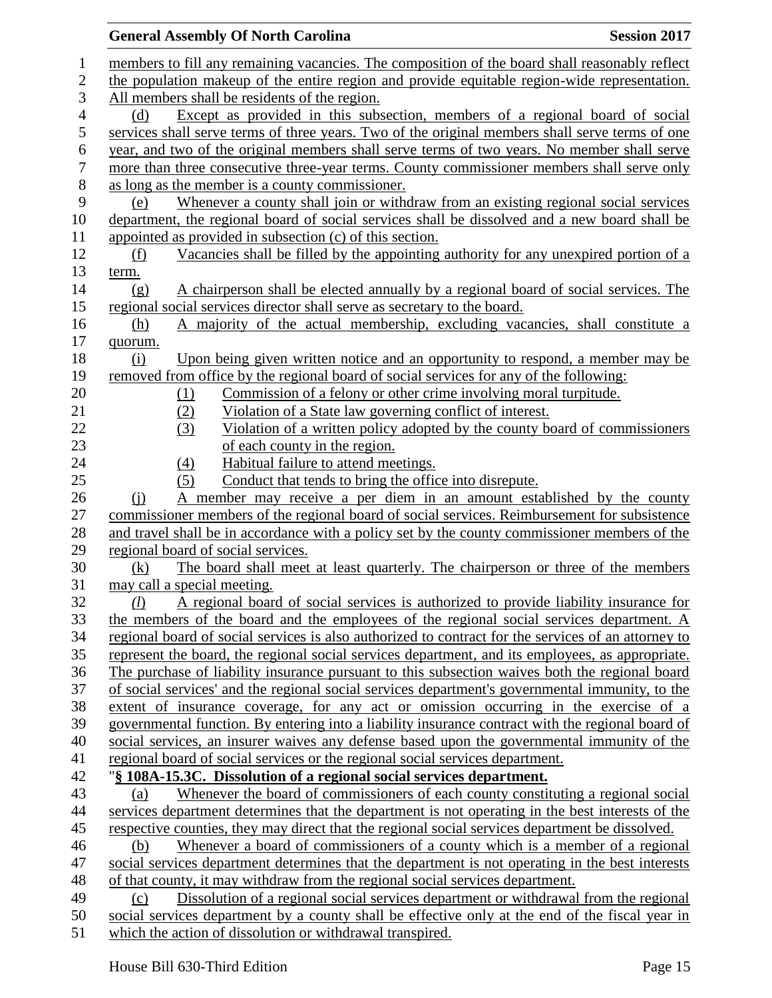|                  | <b>Session 2017</b><br><b>General Assembly Of North Carolina</b>                                    |
|------------------|-----------------------------------------------------------------------------------------------------|
| 1                | members to fill any remaining vacancies. The composition of the board shall reasonably reflect      |
| $\boldsymbol{2}$ | the population makeup of the entire region and provide equitable region-wide representation.        |
| 3                | All members shall be residents of the region.                                                       |
| $\overline{4}$   | Except as provided in this subsection, members of a regional board of social<br>(d)                 |
| 5                | services shall serve terms of three years. Two of the original members shall serve terms of one     |
| 6                | year, and two of the original members shall serve terms of two years. No member shall serve         |
| $\boldsymbol{7}$ | more than three consecutive three-year terms. County commissioner members shall serve only          |
| $8\,$            | as long as the member is a county commissioner.                                                     |
| 9                | Whenever a county shall join or withdraw from an existing regional social services<br>(e)           |
| 10               | department, the regional board of social services shall be dissolved and a new board shall be       |
| 11               | appointed as provided in subsection (c) of this section.                                            |
| 12               | Vacancies shall be filled by the appointing authority for any unexpired portion of a<br>(f)         |
| 13               | term.                                                                                               |
| 14               | A chairperson shall be elected annually by a regional board of social services. The<br>(g)          |
| 15               | regional social services director shall serve as secretary to the board.                            |
| 16               | A majority of the actual membership, excluding vacancies, shall constitute a<br><u>(h)</u>          |
| 17               | quorum.                                                                                             |
| 18               | Upon being given written notice and an opportunity to respond, a member may be<br>(i)               |
| 19               | removed from office by the regional board of social services for any of the following:              |
| 20               | Commission of a felony or other crime involving moral turpitude.<br>(1)                             |
| 21               | Violation of a State law governing conflict of interest.<br>(2)                                     |
| 22               | Violation of a written policy adopted by the county board of commissioners<br>(3)                   |
| 23               | of each county in the region.                                                                       |
| 24               | Habitual failure to attend meetings.<br>(4)                                                         |
| 25               | Conduct that tends to bring the office into disrepute.<br>(5)                                       |
| 26               | A member may receive a per diem in an amount established by the county<br>(i)                       |
| 27               | commissioner members of the regional board of social services. Reimbursement for subsistence        |
| 28               | and travel shall be in accordance with a policy set by the county commissioner members of the       |
| 29               | regional board of social services.                                                                  |
| 30               | The board shall meet at least quarterly. The chairperson or three of the members<br>(k)             |
| 31               | may call a special meeting.                                                                         |
| 32               | A regional board of social services is authorized to provide liability insurance for<br>(l)         |
| 33               | the members of the board and the employees of the regional social services department. A            |
| 34               | regional board of social services is also authorized to contract for the services of an attorney to |
| 35               | represent the board, the regional social services department, and its employees, as appropriate.    |
| 36               | The purchase of liability insurance pursuant to this subsection waives both the regional board      |
| 37               | of social services' and the regional social services department's governmental immunity, to the     |
| 38               | extent of insurance coverage, for any act or omission occurring in the exercise of a                |
| 39               | governmental function. By entering into a liability insurance contract with the regional board of   |
| 40               | social services, an insurer waives any defense based upon the governmental immunity of the          |
| 41               | regional board of social services or the regional social services department.                       |
| 42               | "§ 108A-15.3C. Dissolution of a regional social services department.                                |
| 43               | Whenever the board of commissioners of each county constituting a regional social<br>(a)            |
| 44               | services department determines that the department is not operating in the best interests of the    |
| 45               | respective counties, they may direct that the regional social services department be dissolved.     |
| 46               | Whenever a board of commissioners of a county which is a member of a regional<br>(b)                |
| 47               | social services department determines that the department is not operating in the best interests    |
| 48               | of that county, it may withdraw from the regional social services department.                       |
| 49               | Dissolution of a regional social services department or withdrawal from the regional<br>(c)         |
| 50               | social services department by a county shall be effective only at the end of the fiscal year in     |
| 51               | which the action of dissolution or withdrawal transpired.                                           |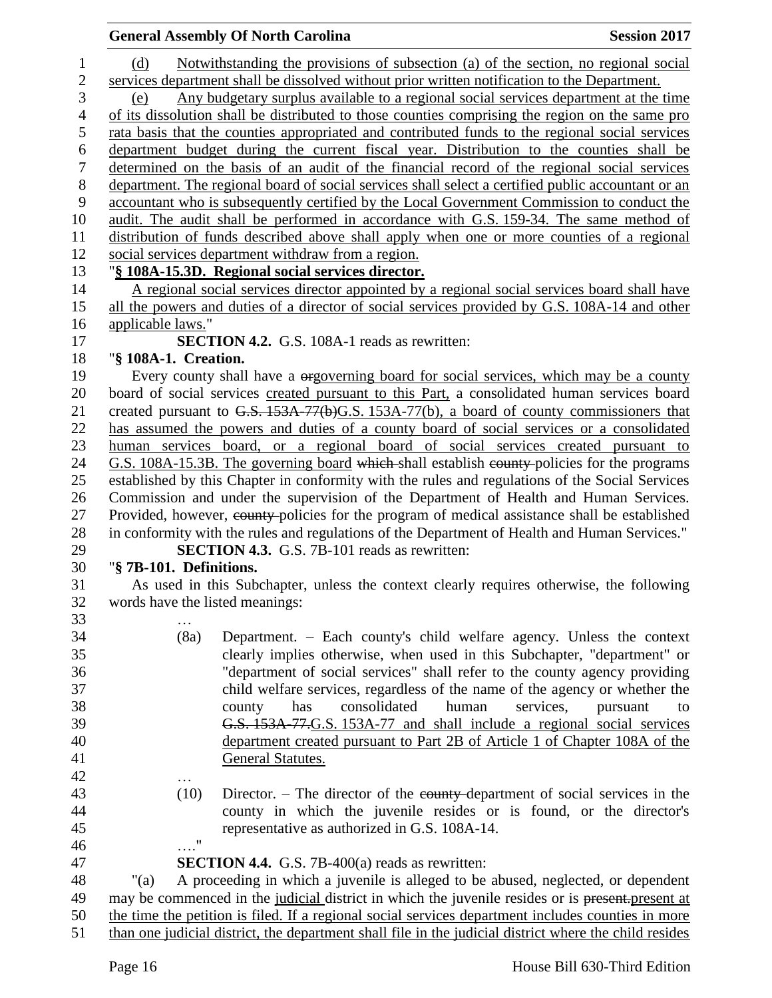|                         | <b>General Assembly Of North Carolina</b>                                                                                                                                            | <b>Session 2017</b>         |  |
|-------------------------|--------------------------------------------------------------------------------------------------------------------------------------------------------------------------------------|-----------------------------|--|
| (d)                     | Notwithstanding the provisions of subsection (a) of the section, no regional social                                                                                                  |                             |  |
|                         |                                                                                                                                                                                      |                             |  |
| (e)                     | services department shall be dissolved without prior written notification to the Department.<br>Any budgetary surplus available to a regional social services department at the time |                             |  |
|                         | of its dissolution shall be distributed to those counties comprising the region on the same pro                                                                                      |                             |  |
|                         | rata basis that the counties appropriated and contributed funds to the regional social services                                                                                      |                             |  |
|                         | department budget during the current fiscal year. Distribution to the counties shall be                                                                                              |                             |  |
|                         |                                                                                                                                                                                      |                             |  |
|                         | determined on the basis of an audit of the financial record of the regional social services                                                                                          |                             |  |
|                         | department. The regional board of social services shall select a certified public accountant or an                                                                                   |                             |  |
|                         | accountant who is subsequently certified by the Local Government Commission to conduct the                                                                                           |                             |  |
|                         | audit. The audit shall be performed in accordance with G.S. 159-34. The same method of                                                                                               |                             |  |
|                         | distribution of funds described above shall apply when one or more counties of a regional                                                                                            |                             |  |
|                         | social services department withdraw from a region.                                                                                                                                   |                             |  |
|                         | "§ 108A-15.3D. Regional social services director.                                                                                                                                    |                             |  |
|                         | A regional social services director appointed by a regional social services board shall have                                                                                         |                             |  |
|                         | all the powers and duties of a director of social services provided by G.S. 108A-14 and other                                                                                        |                             |  |
| applicable laws."       |                                                                                                                                                                                      |                             |  |
|                         | <b>SECTION 4.2.</b> G.S. 108A-1 reads as rewritten:                                                                                                                                  |                             |  |
| "§ 108A-1. Creation.    |                                                                                                                                                                                      |                             |  |
|                         | Every county shall have a <del>orgoverning board</del> for social services, which may be a county                                                                                    |                             |  |
|                         | board of social services created pursuant to this Part, a consolidated human services board                                                                                          |                             |  |
|                         | created pursuant to G.S. 153A-77(b)G.S. 153A-77(b), a board of county commissioners that                                                                                             |                             |  |
|                         | has assumed the powers and duties of a county board of social services or a consolidated                                                                                             |                             |  |
|                         | human services board, or a regional board of social services created pursuant to                                                                                                     |                             |  |
|                         | G.S. 108A-15.3B. The governing board which shall establish county policies for the programs                                                                                          |                             |  |
|                         | established by this Chapter in conformity with the rules and regulations of the Social Services                                                                                      |                             |  |
|                         | Commission and under the supervision of the Department of Health and Human Services.                                                                                                 |                             |  |
|                         | Provided, however, eounty-policies for the program of medical assistance shall be established                                                                                        |                             |  |
|                         | in conformity with the rules and regulations of the Department of Health and Human Services."                                                                                        |                             |  |
|                         | <b>SECTION 4.3.</b> G.S. 7B-101 reads as rewritten:                                                                                                                                  |                             |  |
| "§ 7B-101. Definitions. |                                                                                                                                                                                      |                             |  |
|                         | As used in this Subchapter, unless the context clearly requires otherwise, the following                                                                                             |                             |  |
|                         | words have the listed meanings:                                                                                                                                                      |                             |  |
|                         |                                                                                                                                                                                      |                             |  |
|                         | (8a)<br>Department. - Each county's child welfare agency. Unless the context                                                                                                         |                             |  |
|                         | clearly implies otherwise, when used in this Subchapter, "department" or                                                                                                             |                             |  |
|                         | "department of social services" shall refer to the county agency providing                                                                                                           |                             |  |
|                         | child welfare services, regardless of the name of the agency or whether the                                                                                                          |                             |  |
|                         | consolidated<br>human                                                                                                                                                                |                             |  |
|                         | has<br>county                                                                                                                                                                        | services,<br>pursuant<br>to |  |
|                         | G.S. 153A-77.G.S. 153A-77 and shall include a regional social services                                                                                                               |                             |  |
|                         | department created pursuant to Part 2B of Article 1 of Chapter 108A of the                                                                                                           |                             |  |
|                         | General Statutes.                                                                                                                                                                    |                             |  |
|                         |                                                                                                                                                                                      |                             |  |
|                         | Director. - The director of the eounty-department of social services in the<br>(10)                                                                                                  |                             |  |
|                         | county in which the juvenile resides or is found, or the director's                                                                                                                  |                             |  |
|                         | representative as authorized in G.S. 108A-14.                                                                                                                                        |                             |  |
|                         | $\pmb{\mathsf{H}}$                                                                                                                                                                   |                             |  |
|                         | <b>SECTION 4.4.</b> G.S. 7B-400(a) reads as rewritten:                                                                                                                               |                             |  |
| " $(a)$                 | A proceeding in which a juvenile is alleged to be abused, neglected, or dependent                                                                                                    |                             |  |
|                         | may be commenced in the judicial district in which the juvenile resides or is present-present at                                                                                     |                             |  |
|                         | the time the petition is filed. If a regional social services department includes counties in more                                                                                   |                             |  |

51 than one judicial district, the department shall file in the judicial district where the child resides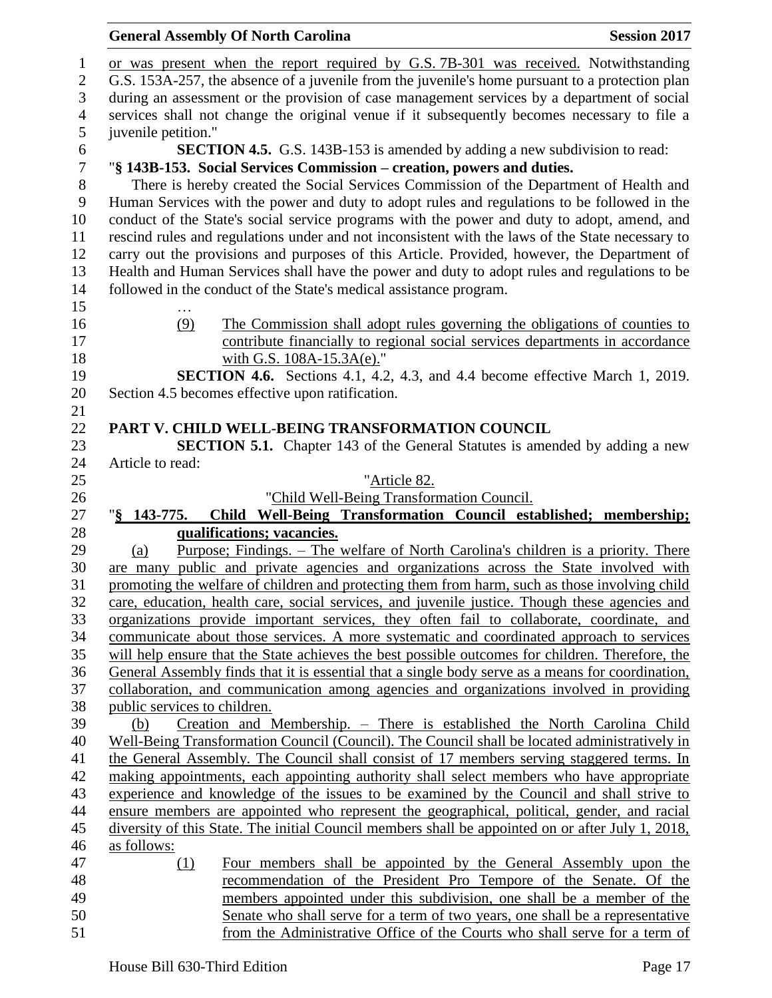## **General Assembly Of North Carolina Session 2017**  or was present when the report required by G.S. 7B-301 was received. Notwithstanding G.S. 153A-257, the absence of a juvenile from the juvenile's home pursuant to a protection plan during an assessment or the provision of case management services by a department of social services shall not change the original venue if it subsequently becomes necessary to file a juvenile petition." **SECTION 4.5.** G.S. 143B-153 is amended by adding a new subdivision to read:<br> **SECTION 4.5.** G.S. 143B-153 is amended by adding a new subdivision to read:<br> **SECTION 4.5.** G.S. 143B-153. Social Services Commission – creatio "**§ 143B-153. Social Services Commission – creation, powers and duties.** There is hereby created the Social Services Commission of the Department of Health and Human Services with the power and duty to adopt rules and regulations to be followed in the conduct of the State's social service programs with the power and duty to adopt, amend, and rescind rules and regulations under and not inconsistent with the laws of the State necessary to carry out the provisions and purposes of this Article. Provided, however, the Department of Health and Human Services shall have the power and duty to adopt rules and regulations to be followed in the conduct of the State's medical assistance program. … (9) The Commission shall adopt rules governing the obligations of counties to contribute financially to regional social services departments in accordance 18 with G.S. 108A-15.3A(e)." **SECTION 4.6.** Sections 4.1, 4.2, 4.3, and 4.4 become effective March 1, 2019. Section 4.5 becomes effective upon ratification. **PART V. CHILD WELL-BEING TRANSFORMATION COUNCIL SECTION 5.1.** Chapter 143 of the General Statutes is amended by adding a new Article to read: "Article 82. "Child Well-Being Transformation Council. "**§ 143-775. Child Well-Being Transformation Council established; membership; qualifications; vacancies.** 29 (a) Purpose; Findings. – The welfare of North Carolina's children is a priority. There are many public and private agencies and organizations across the State involved with promoting the welfare of children and protecting them from harm, such as those involving child care, education, health care, social services, and juvenile justice. Though these agencies and organizations provide important services, they often fail to collaborate, coordinate, and communicate about those services. A more systematic and coordinated approach to services will help ensure that the State achieves the best possible outcomes for children. Therefore, the General Assembly finds that it is essential that a single body serve as a means for coordination, collaboration, and communication among agencies and organizations involved in providing public services to children. (b) Creation and Membership. – There is established the North Carolina Child Well-Being Transformation Council (Council). The Council shall be located administratively in the General Assembly. The Council shall consist of 17 members serving staggered terms. In making appointments, each appointing authority shall select members who have appropriate experience and knowledge of the issues to be examined by the Council and shall strive to ensure members are appointed who represent the geographical, political, gender, and racial diversity of this State. The initial Council members shall be appointed on or after July 1, 2018, as follows: (1) Four members shall be appointed by the General Assembly upon the recommendation of the President Pro Tempore of the Senate. Of the members appointed under this subdivision, one shall be a member of the Senate who shall serve for a term of two years, one shall be a representative

from the Administrative Office of the Courts who shall serve for a term of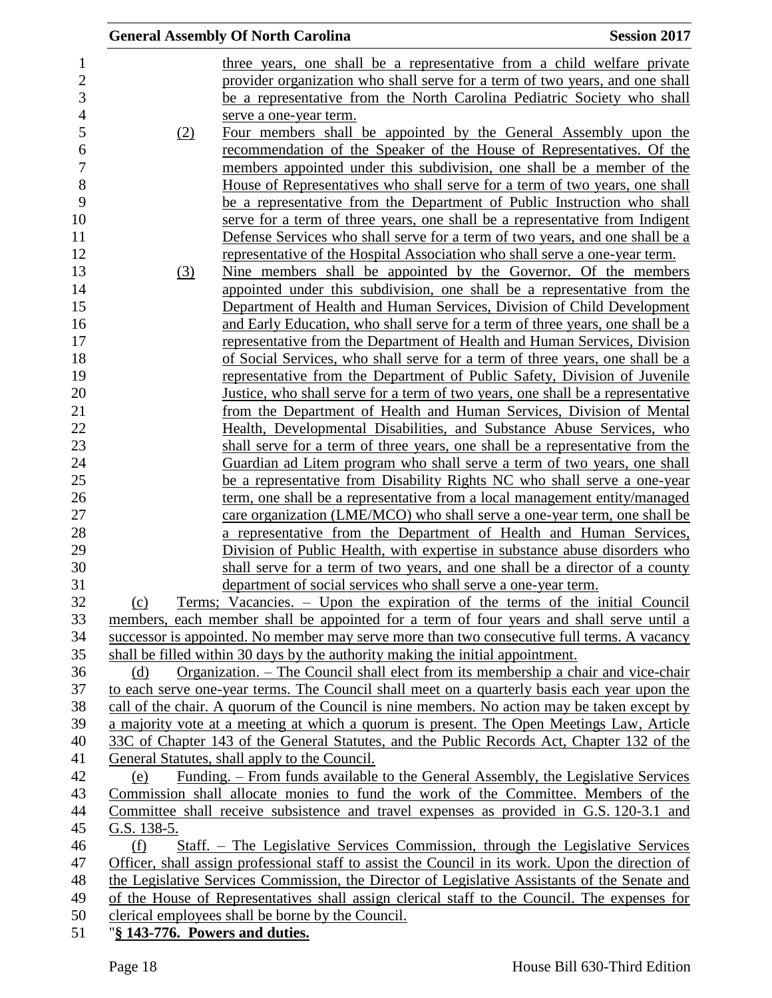|                                                                                               | <b>General Assembly Of North Carolina</b>                                                         | <b>Session 2017</b> |  |  |
|-----------------------------------------------------------------------------------------------|---------------------------------------------------------------------------------------------------|---------------------|--|--|
|                                                                                               | three years, one shall be a representative from a child welfare private                           |                     |  |  |
|                                                                                               | provider organization who shall serve for a term of two years, and one shall                      |                     |  |  |
|                                                                                               | be a representative from the North Carolina Pediatric Society who shall                           |                     |  |  |
|                                                                                               | serve a one-year term.                                                                            |                     |  |  |
| (2)                                                                                           | Four members shall be appointed by the General Assembly upon the                                  |                     |  |  |
|                                                                                               | recommendation of the Speaker of the House of Representatives. Of the                             |                     |  |  |
|                                                                                               | members appointed under this subdivision, one shall be a member of the                            |                     |  |  |
|                                                                                               | House of Representatives who shall serve for a term of two years, one shall                       |                     |  |  |
|                                                                                               | be a representative from the Department of Public Instruction who shall                           |                     |  |  |
|                                                                                               | serve for a term of three years, one shall be a representative from Indigent                      |                     |  |  |
|                                                                                               | Defense Services who shall serve for a term of two years, and one shall be a                      |                     |  |  |
|                                                                                               | representative of the Hospital Association who shall serve a one-year term.                       |                     |  |  |
| (3)                                                                                           | Nine members shall be appointed by the Governor. Of the members                                   |                     |  |  |
|                                                                                               | appointed under this subdivision, one shall be a representative from the                          |                     |  |  |
|                                                                                               | Department of Health and Human Services, Division of Child Development                            |                     |  |  |
|                                                                                               | and Early Education, who shall serve for a term of three years, one shall be a                    |                     |  |  |
|                                                                                               | representative from the Department of Health and Human Services, Division                         |                     |  |  |
|                                                                                               | of Social Services, who shall serve for a term of three years, one shall be a                     |                     |  |  |
|                                                                                               | representative from the Department of Public Safety, Division of Juvenile                         |                     |  |  |
|                                                                                               | Justice, who shall serve for a term of two years, one shall be a representative                   |                     |  |  |
|                                                                                               | <u>from the Department of Health and Human Services, Division of Mental</u>                       |                     |  |  |
|                                                                                               | Health, Developmental Disabilities, and Substance Abuse Services, who                             |                     |  |  |
|                                                                                               | shall serve for a term of three years, one shall be a representative from the                     |                     |  |  |
|                                                                                               | Guardian ad Litem program who shall serve a term of two years, one shall                          |                     |  |  |
|                                                                                               | be a representative from Disability Rights NC who shall serve a one-year                          |                     |  |  |
|                                                                                               | <u>term, one shall be a representative from a local management entity/managed</u>                 |                     |  |  |
|                                                                                               | care organization (LME/MCO) who shall serve a one-year term, one shall be                         |                     |  |  |
|                                                                                               | a representative from the Department of Health and Human Services,                                |                     |  |  |
|                                                                                               | Division of Public Health, with expertise in substance abuse disorders who                        |                     |  |  |
|                                                                                               | shall serve for a term of two years, and one shall be a director of a county                      |                     |  |  |
|                                                                                               | department of social services who shall serve a one-year term.                                    |                     |  |  |
| (c)                                                                                           | Terms; Vacancies. – Upon the expiration of the terms of the initial Council                       |                     |  |  |
|                                                                                               | members, each member shall be appointed for a term of four years and shall serve until a          |                     |  |  |
|                                                                                               | successor is appointed. No member may serve more than two consecutive full terms. A vacancy       |                     |  |  |
|                                                                                               | shall be filled within 30 days by the authority making the initial appointment.                   |                     |  |  |
| (d)                                                                                           | Organization. – The Council shall elect from its membership a chair and vice-chair                |                     |  |  |
|                                                                                               | to each serve one-year terms. The Council shall meet on a quarterly basis each year upon the      |                     |  |  |
|                                                                                               | call of the chair. A quorum of the Council is nine members. No action may be taken except by      |                     |  |  |
|                                                                                               | a majority vote at a meeting at which a quorum is present. The Open Meetings Law, Article         |                     |  |  |
|                                                                                               | 33C of Chapter 143 of the General Statutes, and the Public Records Act, Chapter 132 of the        |                     |  |  |
|                                                                                               | General Statutes, shall apply to the Council.                                                     |                     |  |  |
| (e)                                                                                           | <u> Funding. – From funds available to the General Assembly, the Legislative Services</u>         |                     |  |  |
|                                                                                               | Commission shall allocate monies to fund the work of the Committee. Members of the                |                     |  |  |
|                                                                                               | Committee shall receive subsistence and travel expenses as provided in G.S. 120-3.1 and           |                     |  |  |
| G.S. 138-5.                                                                                   |                                                                                                   |                     |  |  |
| (f)                                                                                           | Staff. - The Legislative Services Commission, through the Legislative Services                    |                     |  |  |
|                                                                                               | Officer, shall assign professional staff to assist the Council in its work. Upon the direction of |                     |  |  |
| the Legislative Services Commission, the Director of Legislative Assistants of the Senate and |                                                                                                   |                     |  |  |
| of the House of Representatives shall assign clerical staff to the Council. The expenses for  |                                                                                                   |                     |  |  |
| clerical employees shall be borne by the Council.                                             |                                                                                                   |                     |  |  |
| "§ 143-776. Powers and duties.                                                                |                                                                                                   |                     |  |  |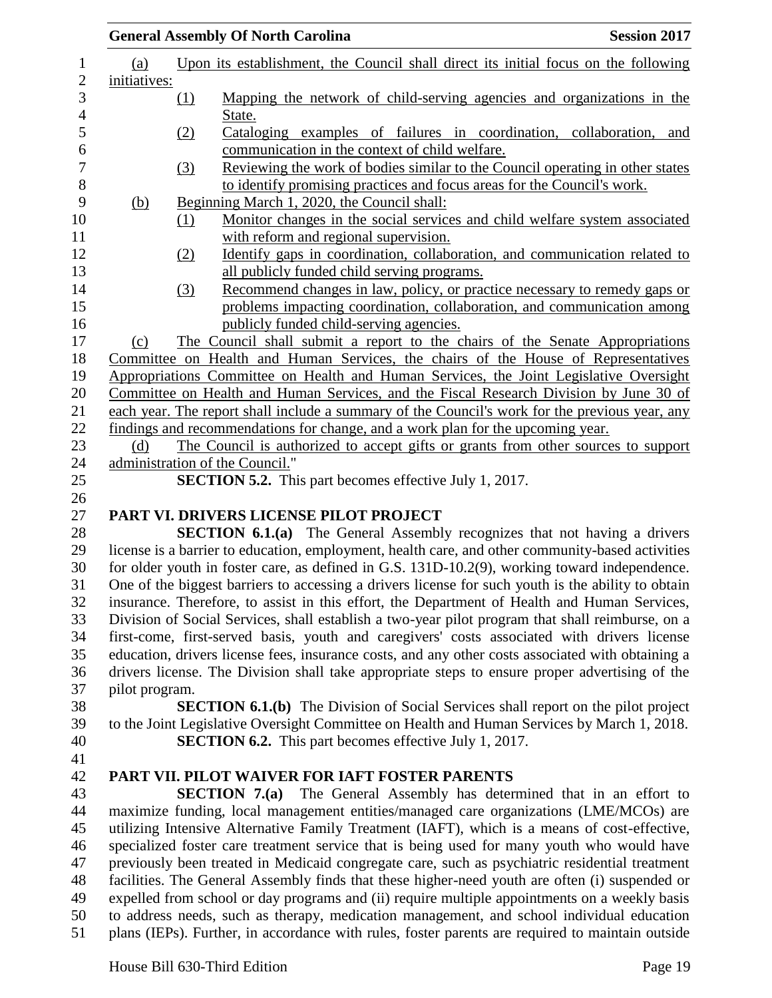|                                                                                                |          | <b>General Assembly Of North Carolina</b>                                                                                                                                                           | <b>Session 2017</b> |  |  |
|------------------------------------------------------------------------------------------------|----------|-----------------------------------------------------------------------------------------------------------------------------------------------------------------------------------------------------|---------------------|--|--|
| <u>(a)</u>                                                                                     |          | Upon its establishment, the Council shall direct its initial focus on the following                                                                                                                 |                     |  |  |
| initiatives:                                                                                   |          |                                                                                                                                                                                                     |                     |  |  |
|                                                                                                | $\Omega$ | Mapping the network of child-serving agencies and organizations in the<br>State.                                                                                                                    |                     |  |  |
|                                                                                                | (2)      | Cataloging examples of failures in coordination, collaboration, and                                                                                                                                 |                     |  |  |
|                                                                                                |          | communication in the context of child welfare.                                                                                                                                                      |                     |  |  |
|                                                                                                | (3)      | Reviewing the work of bodies similar to the Council operating in other states                                                                                                                       |                     |  |  |
|                                                                                                |          | to identify promising practices and focus areas for the Council's work.<br>Beginning March 1, 2020, the Council shall:                                                                              |                     |  |  |
| <u>(b)</u>                                                                                     | (1)      | Monitor changes in the social services and child welfare system associated                                                                                                                          |                     |  |  |
|                                                                                                |          | with reform and regional supervision.                                                                                                                                                               |                     |  |  |
|                                                                                                | (2)      | Identify gaps in coordination, collaboration, and communication related to                                                                                                                          |                     |  |  |
|                                                                                                |          | all publicly funded child serving programs.                                                                                                                                                         |                     |  |  |
|                                                                                                | (3)      | Recommend changes in law, policy, or practice necessary to remedy gaps or                                                                                                                           |                     |  |  |
|                                                                                                |          | problems impacting coordination, collaboration, and communication among                                                                                                                             |                     |  |  |
|                                                                                                |          | publicly funded child-serving agencies.                                                                                                                                                             |                     |  |  |
| (c)                                                                                            |          | The Council shall submit a report to the chairs of the Senate Appropriations                                                                                                                        |                     |  |  |
|                                                                                                |          | Committee on Health and Human Services, the chairs of the House of Representatives                                                                                                                  |                     |  |  |
|                                                                                                |          | Appropriations Committee on Health and Human Services, the Joint Legislative Oversight                                                                                                              |                     |  |  |
|                                                                                                |          | Committee on Health and Human Services, and the Fiscal Research Division by June 30 of                                                                                                              |                     |  |  |
|                                                                                                |          | each year. The report shall include a summary of the Council's work for the previous year, any                                                                                                      |                     |  |  |
|                                                                                                |          | findings and recommendations for change, and a work plan for the upcoming year.                                                                                                                     |                     |  |  |
| (d)                                                                                            |          | The Council is authorized to accept gifts or grants from other sources to support                                                                                                                   |                     |  |  |
|                                                                                                |          | administration of the Council."                                                                                                                                                                     |                     |  |  |
|                                                                                                |          | <b>SECTION 5.2.</b> This part becomes effective July 1, 2017.                                                                                                                                       |                     |  |  |
|                                                                                                |          |                                                                                                                                                                                                     |                     |  |  |
|                                                                                                |          | PART VI. DRIVERS LICENSE PILOT PROJECT                                                                                                                                                              |                     |  |  |
|                                                                                                |          | <b>SECTION 6.1.(a)</b> The General Assembly recognizes that not having a drivers                                                                                                                    |                     |  |  |
|                                                                                                |          | license is a barrier to education, employment, health care, and other community-based activities                                                                                                    |                     |  |  |
|                                                                                                |          | for older youth in foster care, as defined in G.S. 131D-10.2(9), working toward independence.<br>One of the biggest barriers to accessing a drivers license for such youth is the ability to obtain |                     |  |  |
|                                                                                                |          | insurance. Therefore, to assist in this effort, the Department of Health and Human Services,                                                                                                        |                     |  |  |
|                                                                                                |          | Division of Social Services, shall establish a two-year pilot program that shall reimburse, on a                                                                                                    |                     |  |  |
|                                                                                                |          | first-come, first-served basis, youth and caregivers' costs associated with drivers license                                                                                                         |                     |  |  |
|                                                                                                |          | education, drivers license fees, insurance costs, and any other costs associated with obtaining a                                                                                                   |                     |  |  |
|                                                                                                |          | drivers license. The Division shall take appropriate steps to ensure proper advertising of the                                                                                                      |                     |  |  |
| pilot program.                                                                                 |          |                                                                                                                                                                                                     |                     |  |  |
|                                                                                                |          | <b>SECTION 6.1.(b)</b> The Division of Social Services shall report on the pilot project                                                                                                            |                     |  |  |
|                                                                                                |          | to the Joint Legislative Oversight Committee on Health and Human Services by March 1, 2018.                                                                                                         |                     |  |  |
|                                                                                                |          | <b>SECTION 6.2.</b> This part becomes effective July 1, 2017.                                                                                                                                       |                     |  |  |
|                                                                                                |          |                                                                                                                                                                                                     |                     |  |  |
|                                                                                                |          | PART VII. PILOT WAIVER FOR IAFT FOSTER PARENTS                                                                                                                                                      |                     |  |  |
|                                                                                                |          | The General Assembly has determined that in an effort to<br>SECTION $7.(a)$                                                                                                                         |                     |  |  |
|                                                                                                |          | maximize funding, local management entities/managed care organizations (LME/MCOs) are                                                                                                               |                     |  |  |
|                                                                                                |          | utilizing Intensive Alternative Family Treatment (IAFT), which is a means of cost-effective,                                                                                                        |                     |  |  |
|                                                                                                |          | specialized foster care treatment service that is being used for many youth who would have                                                                                                          |                     |  |  |
|                                                                                                |          | previously been treated in Medicaid congregate care, such as psychiatric residential treatment                                                                                                      |                     |  |  |
| facilities. The General Assembly finds that these higher-need youth are often (i) suspended or |          |                                                                                                                                                                                                     |                     |  |  |
|                                                                                                |          | expelled from school or day programs and (ii) require multiple appointments on a weekly basis                                                                                                       |                     |  |  |
|                                                                                                |          | to address needs, such as therapy, medication management, and school individual education                                                                                                           |                     |  |  |
|                                                                                                |          | plans (IEPs). Further, in accordance with rules, foster parents are required to maintain outside                                                                                                    |                     |  |  |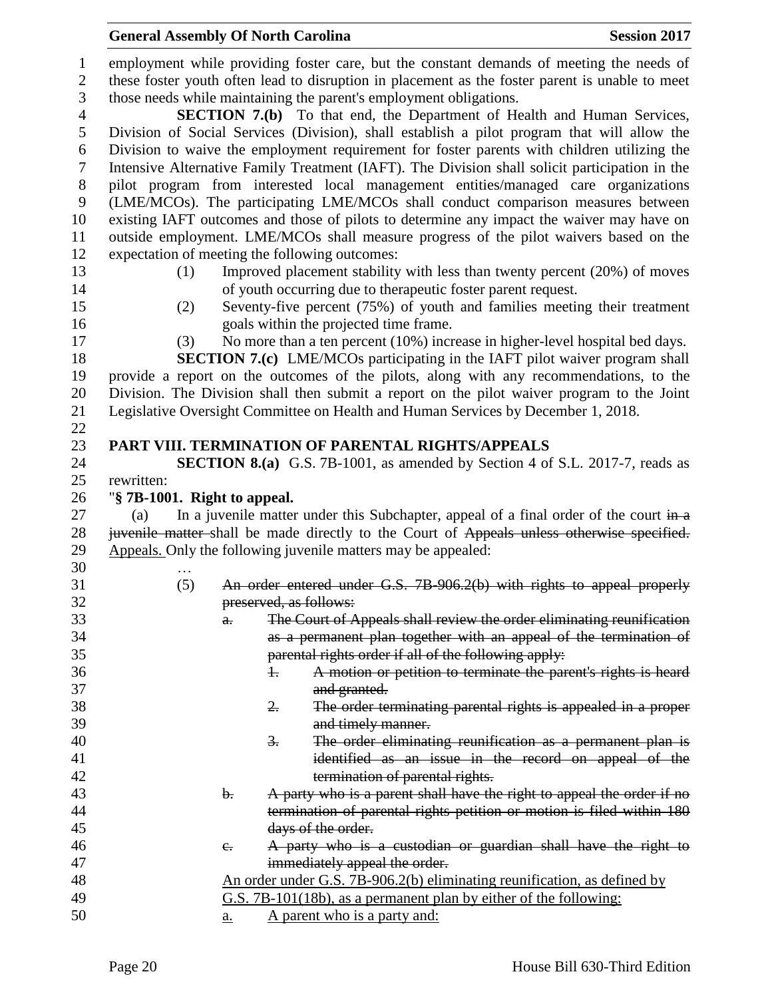|                | employment while providing foster care, but the constant demands of meeting the needs of                                                        |  |  |  |  |  |  |
|----------------|-------------------------------------------------------------------------------------------------------------------------------------------------|--|--|--|--|--|--|
| $\mathbf{2}$   | these foster youth often lead to disruption in placement as the foster parent is unable to meet                                                 |  |  |  |  |  |  |
| 3              | those needs while maintaining the parent's employment obligations.                                                                              |  |  |  |  |  |  |
| $\overline{4}$ | <b>SECTION 7.(b)</b> To that end, the Department of Health and Human Services,                                                                  |  |  |  |  |  |  |
| 5              | Division of Social Services (Division), shall establish a pilot program that will allow the                                                     |  |  |  |  |  |  |
| 6              | Division to waive the employment requirement for foster parents with children utilizing the                                                     |  |  |  |  |  |  |
| 7              | Intensive Alternative Family Treatment (IAFT). The Division shall solicit participation in the                                                  |  |  |  |  |  |  |
| 8              | pilot program from interested local management entities/managed care organizations                                                              |  |  |  |  |  |  |
| 9              | (LME/MCOs). The participating LME/MCOs shall conduct comparison measures between                                                                |  |  |  |  |  |  |
| 10             | existing IAFT outcomes and those of pilots to determine any impact the waiver may have on                                                       |  |  |  |  |  |  |
| 11             | outside employment. LME/MCOs shall measure progress of the pilot waivers based on the                                                           |  |  |  |  |  |  |
| 12             | expectation of meeting the following outcomes:                                                                                                  |  |  |  |  |  |  |
| 13             | Improved placement stability with less than twenty percent (20%) of moves<br>(1)                                                                |  |  |  |  |  |  |
| 14             | of youth occurring due to therapeutic foster parent request.                                                                                    |  |  |  |  |  |  |
| 15             | Seventy-five percent (75%) of youth and families meeting their treatment<br>(2)                                                                 |  |  |  |  |  |  |
| 16             | goals within the projected time frame.                                                                                                          |  |  |  |  |  |  |
| 17             | No more than a ten percent (10%) increase in higher-level hospital bed days.<br>(3)                                                             |  |  |  |  |  |  |
| 18             | <b>SECTION 7.(c)</b> LME/MCOs participating in the IAFT pilot waiver program shall                                                              |  |  |  |  |  |  |
| 19             | provide a report on the outcomes of the pilots, along with any recommendations, to the                                                          |  |  |  |  |  |  |
| 20             | Division. The Division shall then submit a report on the pilot waiver program to the Joint                                                      |  |  |  |  |  |  |
| 21             | Legislative Oversight Committee on Health and Human Services by December 1, 2018.                                                               |  |  |  |  |  |  |
| 22             |                                                                                                                                                 |  |  |  |  |  |  |
| 23             | PART VIII. TERMINATION OF PARENTAL RIGHTS/APPEALS                                                                                               |  |  |  |  |  |  |
| 24             | <b>SECTION 8.(a)</b> G.S. 7B-1001, as amended by Section 4 of S.L. 2017-7, reads as                                                             |  |  |  |  |  |  |
| 25             | rewritten:                                                                                                                                      |  |  |  |  |  |  |
| 26             | "§ 7B-1001. Right to appeal.                                                                                                                    |  |  |  |  |  |  |
| 27             | In a juvenile matter under this Subchapter, appeal of a final order of the court $\frac{1}{2}$<br>(a)                                           |  |  |  |  |  |  |
| 28             | juvenile matter-shall be made directly to the Court of Appeals unless otherwise specified.                                                      |  |  |  |  |  |  |
| 29             | Appeals. Only the following juvenile matters may be appealed:                                                                                   |  |  |  |  |  |  |
|                |                                                                                                                                                 |  |  |  |  |  |  |
| 30             |                                                                                                                                                 |  |  |  |  |  |  |
| 31             | An order entered under G.S. 7B 906.2(b) with rights to appeal properly<br>(5)                                                                   |  |  |  |  |  |  |
| 32             | preserved, as follows:                                                                                                                          |  |  |  |  |  |  |
| 33             | The Court of Appeals shall review the order eliminating reunification<br>а.                                                                     |  |  |  |  |  |  |
| 34             |                                                                                                                                                 |  |  |  |  |  |  |
| 35             | as a permanent plan together with an appeal of the termination of<br>parental rights order if all of the following apply:                       |  |  |  |  |  |  |
| 36             | A motion or petition to terminate the parent's rights is heard<br>ł.                                                                            |  |  |  |  |  |  |
| 37             | and granted.                                                                                                                                    |  |  |  |  |  |  |
| 38             | 2.<br>The order terminating parental rights is appealed in a proper                                                                             |  |  |  |  |  |  |
| 39             | and timely manner.                                                                                                                              |  |  |  |  |  |  |
| 40             | The order eliminating reunification as a permanent plan is<br>$\frac{3}{2}$ .                                                                   |  |  |  |  |  |  |
| 41             | identified as an issue in the record on appeal of the                                                                                           |  |  |  |  |  |  |
| 42             |                                                                                                                                                 |  |  |  |  |  |  |
| 43             | termination of parental rights.<br>$\mathbf{b}$ .                                                                                               |  |  |  |  |  |  |
| 44             | A party who is a parent shall have the right to appeal the order if no<br>termination of parental rights petition or motion is filed within 180 |  |  |  |  |  |  |
| 45             | days of the order.                                                                                                                              |  |  |  |  |  |  |
| 46             | A party who is a custodian or guardian shall have the right to<br>$e_{\cdot}$                                                                   |  |  |  |  |  |  |
| 47             | immediately appeal the order.                                                                                                                   |  |  |  |  |  |  |
| 48             | An order under G.S. 7B-906.2(b) eliminating reunification, as defined by                                                                        |  |  |  |  |  |  |
| 49             | G.S. 7B-101(18b), as a permanent plan by either of the following:                                                                               |  |  |  |  |  |  |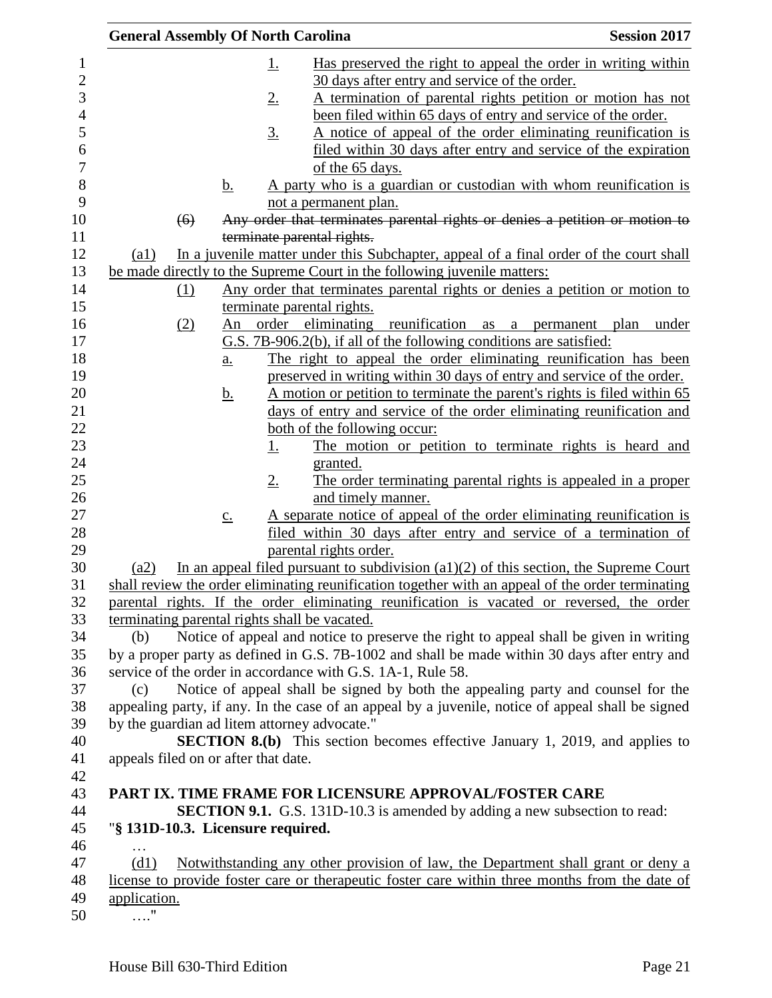| <b>General Assembly Of North Carolina</b>     |                   |                   | <b>Session 2017</b>                                                      |                                                                                                   |
|-----------------------------------------------|-------------------|-------------------|--------------------------------------------------------------------------|---------------------------------------------------------------------------------------------------|
|                                               |                   | <u>1.</u>         |                                                                          | Has preserved the right to appeal the order in writing within                                     |
|                                               |                   |                   | 30 days after entry and service of the order.                            |                                                                                                   |
|                                               |                   | 2.                |                                                                          | A termination of parental rights petition or motion has not                                       |
|                                               |                   |                   |                                                                          | been filed within 65 days of entry and service of the order.                                      |
|                                               |                   | $\underline{3}$ . |                                                                          | A notice of appeal of the order eliminating reunification is                                      |
|                                               |                   |                   |                                                                          | <u>filed within 30 days after entry and service of the expiration</u>                             |
|                                               |                   |                   | of the 65 days.                                                          |                                                                                                   |
|                                               | <u>b.</u>         |                   |                                                                          | A party who is a guardian or custodian with whom reunification is                                 |
|                                               |                   |                   | not a permanent plan.                                                    |                                                                                                   |
| (6)                                           |                   |                   |                                                                          | Any order that terminates parental rights or denies a petition or motion to                       |
|                                               |                   |                   | terminate parental rights.                                               |                                                                                                   |
| $\left( a1\right)$                            |                   |                   |                                                                          | In a juvenile matter under this Subchapter, appeal of a final order of the court shall            |
|                                               |                   |                   | be made directly to the Supreme Court in the following juvenile matters: |                                                                                                   |
| (1)                                           |                   |                   |                                                                          | Any order that terminates parental rights or denies a petition or motion to                       |
|                                               |                   |                   | terminate parental rights.                                               |                                                                                                   |
| (2)                                           | An                |                   |                                                                          | order eliminating reunification as a permanent plan<br>under                                      |
|                                               |                   |                   | G.S. 7B-906.2(b), if all of the following conditions are satisfied:      |                                                                                                   |
|                                               | $\underline{a}$ . |                   |                                                                          | The right to appeal the order eliminating reunification has been                                  |
|                                               |                   |                   |                                                                          | preserved in writing within 30 days of entry and service of the order.                            |
|                                               | <u>b.</u>         |                   |                                                                          | A motion or petition to terminate the parent's rights is filed within 65                          |
|                                               |                   |                   |                                                                          | days of entry and service of the order eliminating reunification and                              |
|                                               |                   |                   | both of the following occur:                                             |                                                                                                   |
|                                               |                   | <u>1.</u>         |                                                                          | The motion or petition to terminate rights is heard and                                           |
|                                               |                   |                   | granted.                                                                 |                                                                                                   |
|                                               |                   | $2_{\cdot}$       |                                                                          | The order terminating parental rights is appealed in a proper                                     |
|                                               |                   |                   | and timely manner.                                                       |                                                                                                   |
|                                               | $\underline{c}$ . |                   |                                                                          | A separate notice of appeal of the order eliminating reunification is                             |
|                                               |                   |                   | parental rights order.                                                   | filed within 30 days after entry and service of a termination of                                  |
| (a2)                                          |                   |                   |                                                                          | In an appeal filed pursuant to subdivision $(a1)(2)$ of this section, the Supreme Court           |
|                                               |                   |                   |                                                                          | shall review the order eliminating reunification together with an appeal of the order terminating |
|                                               |                   |                   |                                                                          | parental rights. If the order eliminating reunification is vacated or reversed, the order         |
| terminating parental rights shall be vacated. |                   |                   |                                                                          |                                                                                                   |
| (b)                                           |                   |                   |                                                                          | Notice of appeal and notice to preserve the right to appeal shall be given in writing             |
|                                               |                   |                   |                                                                          | by a proper party as defined in G.S. 7B-1002 and shall be made within 30 days after entry and     |
|                                               |                   |                   | service of the order in accordance with G.S. 1A-1, Rule 58.              |                                                                                                   |
| (c)                                           |                   |                   |                                                                          | Notice of appeal shall be signed by both the appealing party and counsel for the                  |
|                                               |                   |                   |                                                                          | appealing party, if any. In the case of an appeal by a juvenile, notice of appeal shall be signed |
| by the guardian ad litem attorney advocate."  |                   |                   |                                                                          |                                                                                                   |
|                                               |                   |                   |                                                                          | <b>SECTION 8.(b)</b> This section becomes effective January 1, 2019, and applies to               |
| appeals filed on or after that date.          |                   |                   |                                                                          |                                                                                                   |
|                                               |                   |                   |                                                                          |                                                                                                   |
|                                               |                   |                   | PART IX. TIME FRAME FOR LICENSURE APPROVAL/FOSTER CARE                   |                                                                                                   |
|                                               |                   |                   |                                                                          | <b>SECTION 9.1.</b> G.S. 131D-10.3 is amended by adding a new subsection to read:                 |
| "§ 131D-10.3. Licensure required.             |                   |                   |                                                                          |                                                                                                   |
|                                               |                   |                   |                                                                          |                                                                                                   |
| (d1)                                          |                   |                   |                                                                          | Notwithstanding any other provision of law, the Department shall grant or deny a                  |
|                                               |                   |                   |                                                                          | license to provide foster care or therapeutic foster care within three months from the date of    |
| application.                                  |                   |                   |                                                                          |                                                                                                   |
|                                               |                   |                   |                                                                          |                                                                                                   |